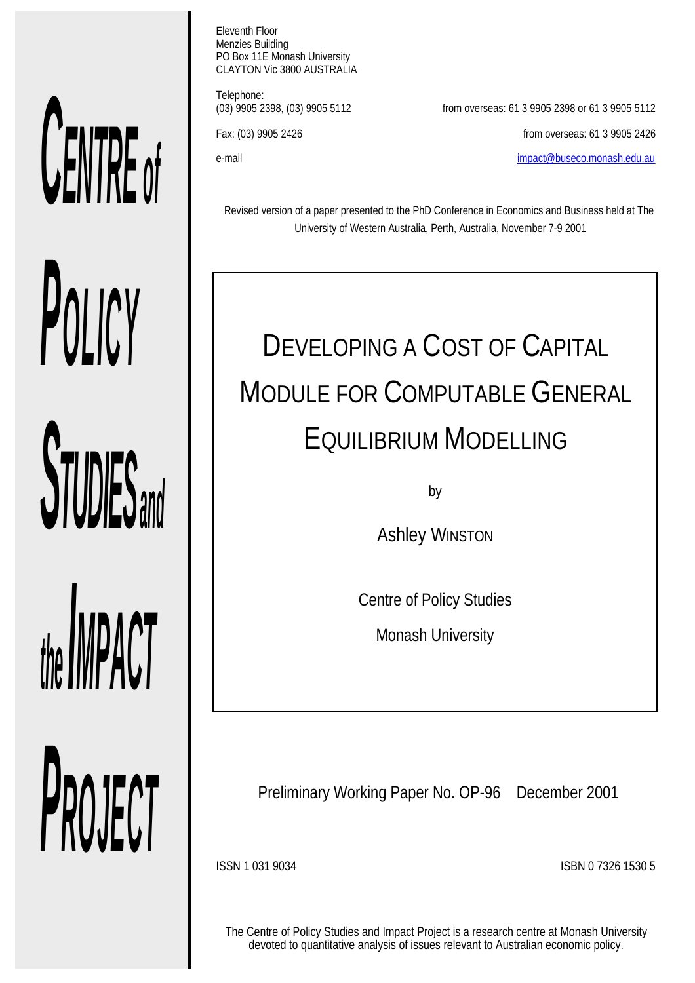# *CENTRE of POLICY*

**STUDIES** and

*the IMPACT*

*PROJECT*

Eleventh Floor Menzies Building PO Box 11E Monash University CLAYTON Vic 3800 AUSTRALIA

Telephone:<br>(03) 9905 2398, (03) 9905 5112

from overseas: 61 3 9905 2398 or 61 3 9905 5112 Fax: (03) 9905 2426 from overseas: 61 3 9905 2426 e-mail impact@buseco.monash.edu.au

Revised version of a paper presented to the PhD Conference in Economics and Business held at The University of Western Australia, Perth, Australia, November 7-9 2001

# DEVELOPING A COST OF CAPITAL MODULE FOR COMPUTABLE GENERAL EQUILIBRIUM MODELLING

by

**Ashley WINSTON** 

Centre of Policy Studies

Monash University

Preliminary Working Paper No. OP-96 December 2001

ISSN 1 031 9034 ISBN 0 7326 1530 5

The Centre of Policy Studies and Impact Project is a research centre at Monash University devoted to quantitative analysis of issues relevant to Australian economic policy.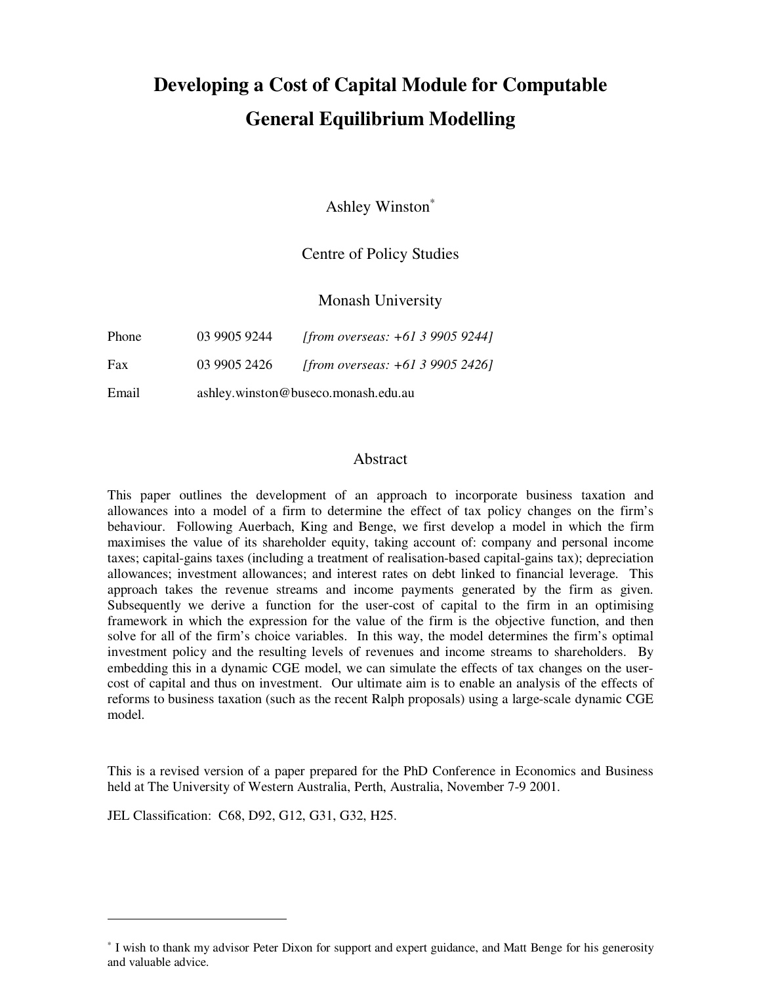## **Developing a Cost of Capital Module for Computable General Equilibrium Modelling**

Ashley Winston<sup>∗</sup>

#### Centre of Policy Studies

Monash University

| Email |              | ashley.winston@buseco.monash.edu.au |
|-------|--------------|-------------------------------------|
| Fax   | 03 9905 2426 | [from overseas: $+61399052426$ ]    |
| Phone | 03 9905 9244 | [from overseas: +61 3 9905 9244]    |

#### Abstract

This paper outlines the development of an approach to incorporate business taxation and allowances into a model of a firm to determine the effect of tax policy changes on the firm's behaviour. Following Auerbach, King and Benge, we first develop a model in which the firm maximises the value of its shareholder equity, taking account of: company and personal income taxes; capital-gains taxes (including a treatment of realisation-based capital-gains tax); depreciation allowances; investment allowances; and interest rates on debt linked to financial leverage. This approach takes the revenue streams and income payments generated by the firm as given. Subsequently we derive a function for the user-cost of capital to the firm in an optimising framework in which the expression for the value of the firm is the objective function, and then solve for all of the firm's choice variables. In this way, the model determines the firm's optimal investment policy and the resulting levels of revenues and income streams to shareholders. By embedding this in a dynamic CGE model, we can simulate the effects of tax changes on the usercost of capital and thus on investment. Our ultimate aim is to enable an analysis of the effects of reforms to business taxation (such as the recent Ralph proposals) using a large-scale dynamic CGE model.

This is a revised version of a paper prepared for the PhD Conference in Economics and Business held at The University of Western Australia, Perth, Australia, November 7-9 2001.

JEL Classification: C68, D92, G12, G31, G32, H25.

1

<sup>∗</sup> I wish to thank my advisor Peter Dixon for support and expert guidance, and Matt Benge for his generosity and valuable advice.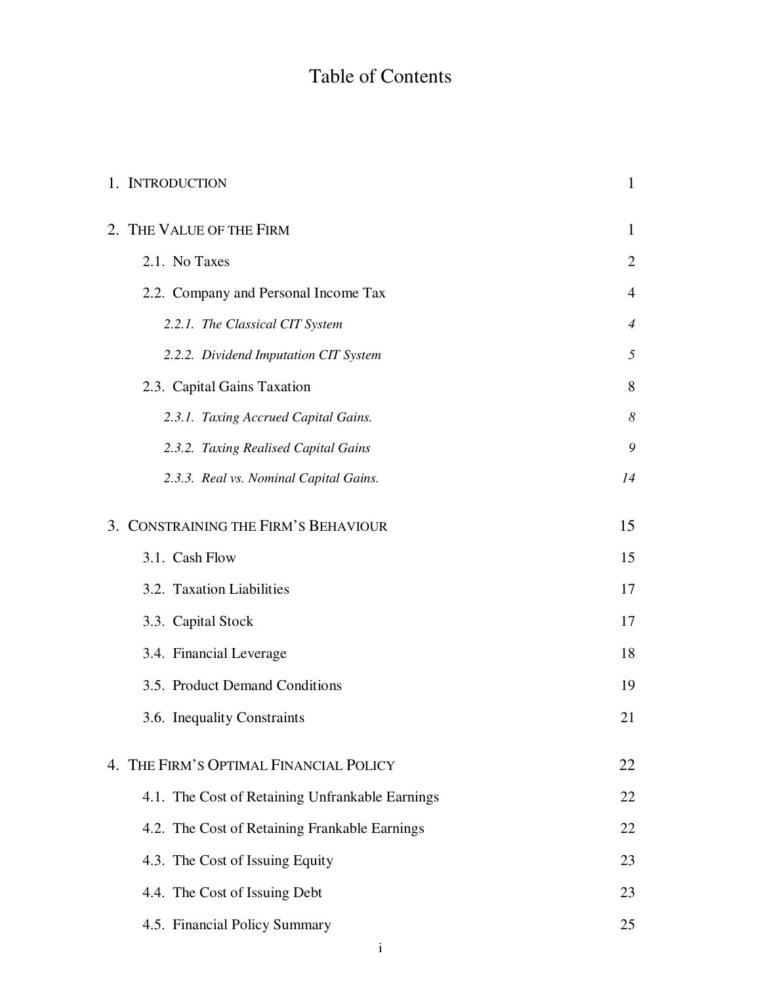### Table of Contents

| 1. INTRODUCTION                                 |                |  |
|-------------------------------------------------|----------------|--|
| 2. THE VALUE OF THE FIRM                        | 1              |  |
| 2.1. No Taxes                                   | $\overline{2}$ |  |
| 2.2. Company and Personal Income Tax            | $\overline{4}$ |  |
| 2.2.1. The Classical CIT System                 | $\overline{4}$ |  |
| 2.2.2. Dividend Imputation CIT System           | 5              |  |
| 2.3. Capital Gains Taxation                     | 8              |  |
| 2.3.1. Taxing Accrued Capital Gains.            | 8              |  |
| 2.3.2. Taxing Realised Capital Gains            | 9              |  |
| 2.3.3. Real vs. Nominal Capital Gains.          | 14             |  |
| 3. CONSTRAINING THE FIRM'S BEHAVIOUR            | 15             |  |
| 3.1. Cash Flow                                  | 15             |  |
| 3.2. Taxation Liabilities                       | 17             |  |
| 3.3. Capital Stock                              | 17             |  |
| 3.4. Financial Leverage                         | 18             |  |
| 3.5. Product Demand Conditions                  | 19             |  |
| 3.6. Inequality Constraints                     | 21             |  |
| 4. THE FIRM'S OPTIMAL FINANCIAL POLICY          | 22             |  |
| 4.1. The Cost of Retaining Unfrankable Earnings | 22             |  |
| 4.2. The Cost of Retaining Frankable Earnings   | 22             |  |
| 4.3. The Cost of Issuing Equity                 | 23             |  |
| 4.4. The Cost of Issuing Debt                   | 23             |  |
| 4.5. Financial Policy Summary                   | 25             |  |
|                                                 |                |  |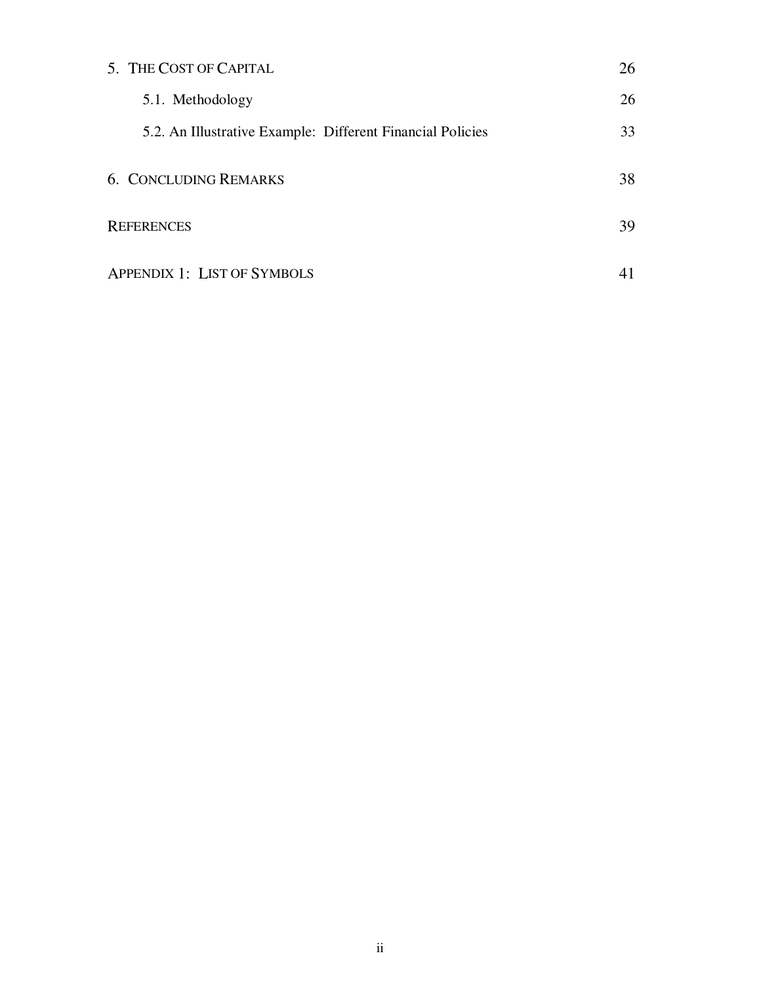| 5. THE COST OF CAPITAL                                     | 26 |
|------------------------------------------------------------|----|
| 5.1. Methodology                                           | 26 |
| 5.2. An Illustrative Example: Different Financial Policies | 33 |
| <b>6. CONCLUDING REMARKS</b>                               | 38 |
| <b>REFERENCES</b>                                          |    |
| <b>APPENDIX 1: LIST OF SYMBOLS</b>                         |    |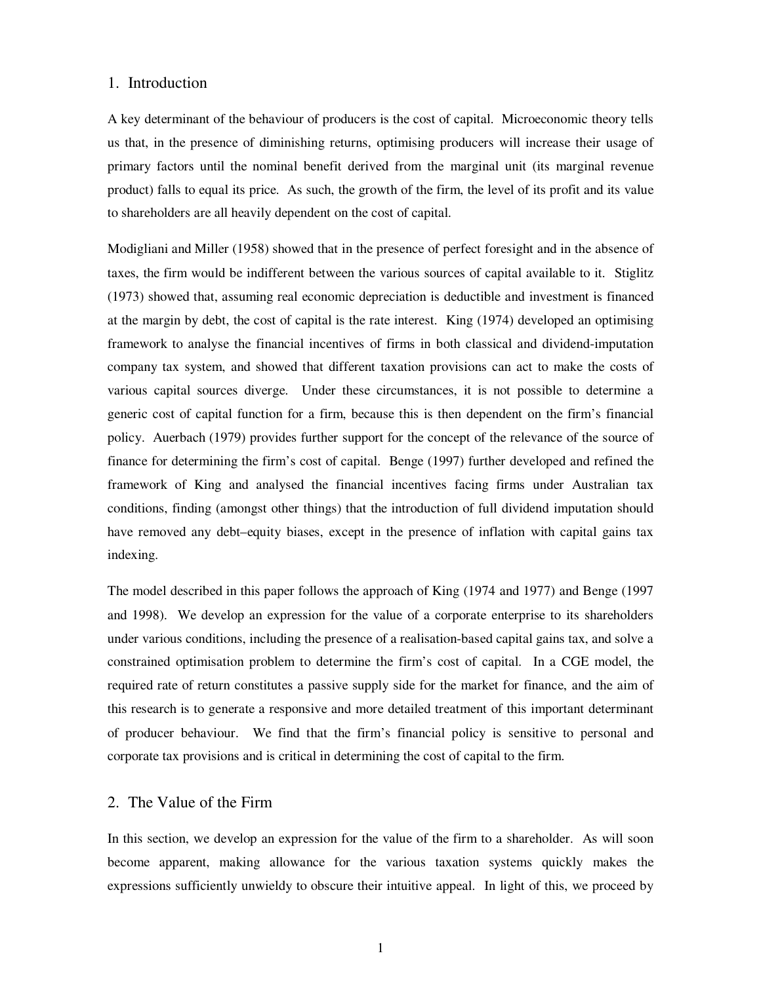#### 1. Introduction

A key determinant of the behaviour of producers is the cost of capital. Microeconomic theory tells us that, in the presence of diminishing returns, optimising producers will increase their usage of primary factors until the nominal benefit derived from the marginal unit (its marginal revenue product) falls to equal its price. As such, the growth of the firm, the level of its profit and its value to shareholders are all heavily dependent on the cost of capital.

Modigliani and Miller (1958) showed that in the presence of perfect foresight and in the absence of taxes, the firm would be indifferent between the various sources of capital available to it. Stiglitz (1973) showed that, assuming real economic depreciation is deductible and investment is financed at the margin by debt, the cost of capital is the rate interest. King (1974) developed an optimising framework to analyse the financial incentives of firms in both classical and dividend-imputation company tax system, and showed that different taxation provisions can act to make the costs of various capital sources diverge. Under these circumstances, it is not possible to determine a generic cost of capital function for a firm, because this is then dependent on the firm's financial policy. Auerbach (1979) provides further support for the concept of the relevance of the source of finance for determining the firm's cost of capital. Benge (1997) further developed and refined the framework of King and analysed the financial incentives facing firms under Australian tax conditions, finding (amongst other things) that the introduction of full dividend imputation should have removed any debt–equity biases, except in the presence of inflation with capital gains tax indexing.

The model described in this paper follows the approach of King (1974 and 1977) and Benge (1997 and 1998). We develop an expression for the value of a corporate enterprise to its shareholders under various conditions, including the presence of a realisation-based capital gains tax, and solve a constrained optimisation problem to determine the firm's cost of capital. In a CGE model, the required rate of return constitutes a passive supply side for the market for finance, and the aim of this research is to generate a responsive and more detailed treatment of this important determinant of producer behaviour. We find that the firm's financial policy is sensitive to personal and corporate tax provisions and is critical in determining the cost of capital to the firm.

#### 2. The Value of the Firm

In this section, we develop an expression for the value of the firm to a shareholder. As will soon become apparent, making allowance for the various taxation systems quickly makes the expressions sufficiently unwieldy to obscure their intuitive appeal. In light of this, we proceed by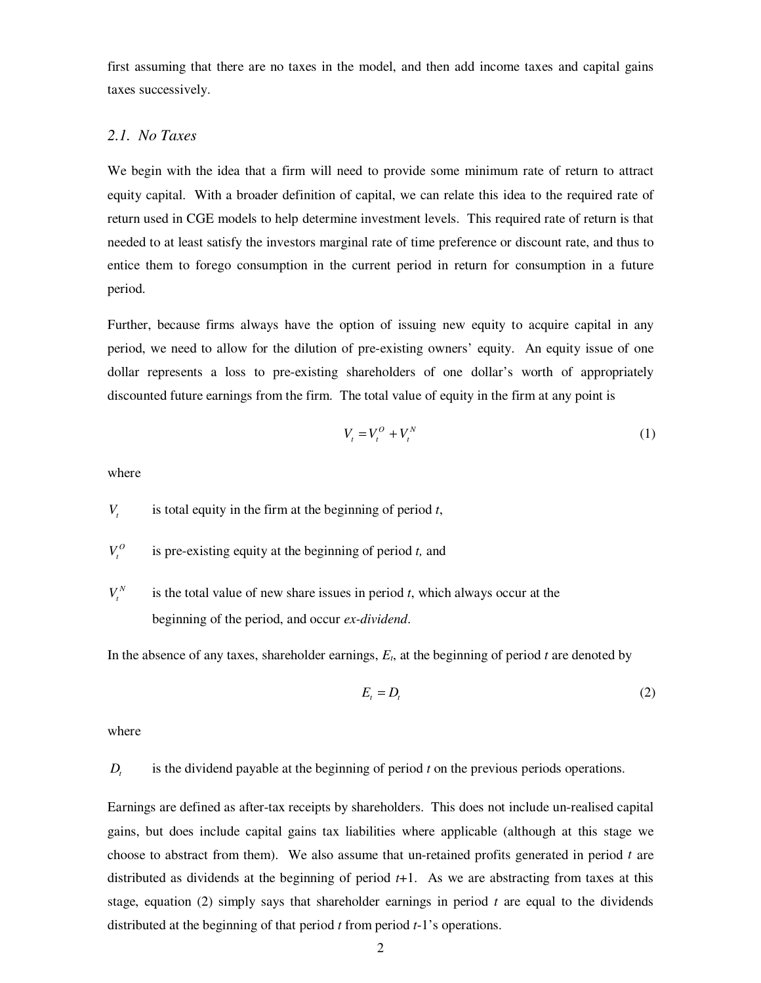first assuming that there are no taxes in the model, and then add income taxes and capital gains taxes successively.

#### *2.1. No Taxes*

We begin with the idea that a firm will need to provide some minimum rate of return to attract equity capital. With a broader definition of capital, we can relate this idea to the required rate of return used in CGE models to help determine investment levels. This required rate of return is that needed to at least satisfy the investors marginal rate of time preference or discount rate, and thus to entice them to forego consumption in the current period in return for consumption in a future period.

Further, because firms always have the option of issuing new equity to acquire capital in any period, we need to allow for the dilution of pre-existing owners' equity. An equity issue of one dollar represents a loss to pre-existing shareholders of one dollar's worth of appropriately discounted future earnings from the firm. The total value of equity in the firm at any point is

$$
V_t = V_t^O + V_t^N \tag{1}
$$

where

 $V<sub>t</sub>$  is total equity in the firm at the beginning of period  $t<sub>t</sub>$ ,

- $V_t^0$  is pre-existing equity at the beginning of period *t*, and
- $V_t^N$  is the total value of new share issues in period *t*, which always occur at the beginning of the period, and occur *ex-dividend*.

In the absence of any taxes, shareholder earnings,  $E_t$ , at the beginning of period  $t$  are denoted by

$$
E_t = D_t \tag{2}
$$

where

#### *D<sub>i</sub>* is the dividend payable at the beginning of period *t* on the previous periods operations.

Earnings are defined as after-tax receipts by shareholders. This does not include un-realised capital gains, but does include capital gains tax liabilities where applicable (although at this stage we choose to abstract from them). We also assume that un-retained profits generated in period *t* are distributed as dividends at the beginning of period *t*+1. As we are abstracting from taxes at this stage, equation (2) simply says that shareholder earnings in period *t* are equal to the dividends distributed at the beginning of that period *t* from period *t*-1's operations.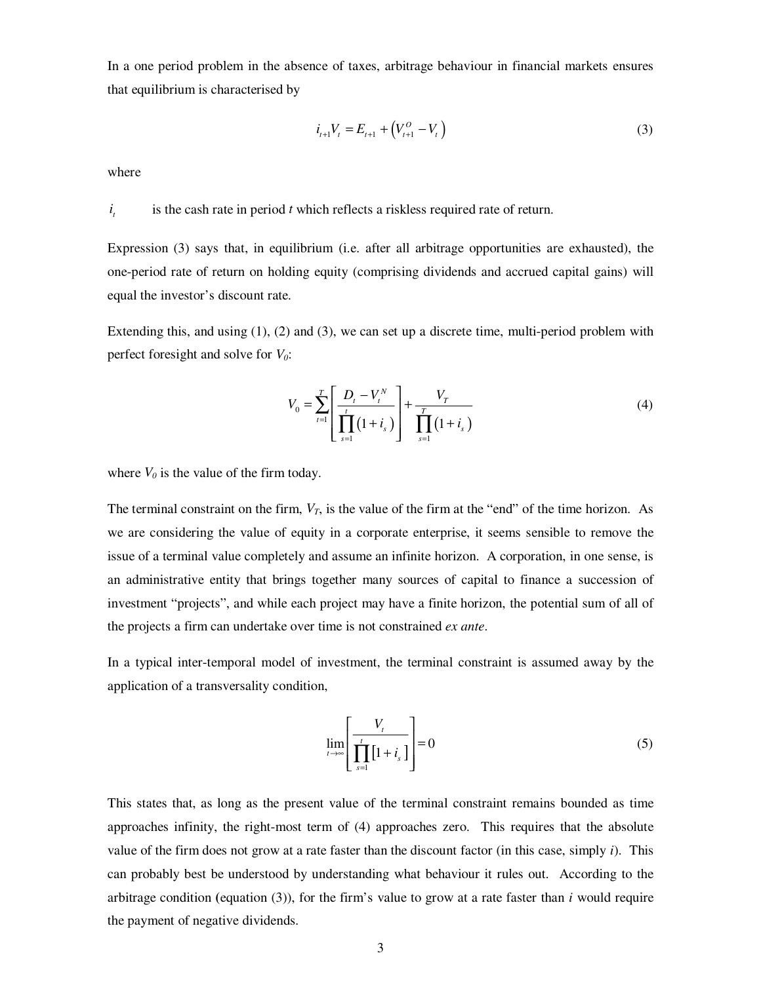In a one period problem in the absence of taxes, arbitrage behaviour in financial markets ensures that equilibrium is characterised by

$$
i_{t+1}V_t = E_{t+1} + (V_{t+1}^O - V_t)
$$
\n(3)

where

#### *t i* is the cash rate in period *t* which reflects a riskless required rate of return.

Expression (3) says that, in equilibrium (i.e. after all arbitrage opportunities are exhausted), the one-period rate of return on holding equity (comprising dividends and accrued capital gains) will equal the investor's discount rate.

Extending this, and using (1), (2) and (3), we can set up a discrete time, multi-period problem with perfect foresight and solve for *V0*:

$$
V_0 = \sum_{t=1}^T \left[ \frac{D_t - V_t^N}{\prod_{s=1}^t (1 + i_s)} \right] + \frac{V_T}{\prod_{s=1}^T (1 + i_s)}
$$
(4)

where  $V_0$  is the value of the firm today.

The terminal constraint on the firm,  $V_T$ , is the value of the firm at the "end" of the time horizon. As we are considering the value of equity in a corporate enterprise, it seems sensible to remove the issue of a terminal value completely and assume an infinite horizon. A corporation, in one sense, is an administrative entity that brings together many sources of capital to finance a succession of investment "projects", and while each project may have a finite horizon, the potential sum of all of the projects a firm can undertake over time is not constrained *ex ante*.

In a typical inter-temporal model of investment, the terminal constraint is assumed away by the application of a transversality condition,

$$
\lim_{t \to \infty} \left[ \frac{V_t}{\prod_{s=1}^t [1 + i_s]} \right] = 0 \tag{5}
$$

This states that, as long as the present value of the terminal constraint remains bounded as time approaches infinity, the right-most term of (4) approaches zero. This requires that the absolute value of the firm does not grow at a rate faster than the discount factor (in this case, simply  $i$ ). This can probably best be understood by understanding what behaviour it rules out. According to the arbitrage condition (equation  $(3)$ ), for the firm's value to grow at a rate faster than *i* would require the payment of negative dividends.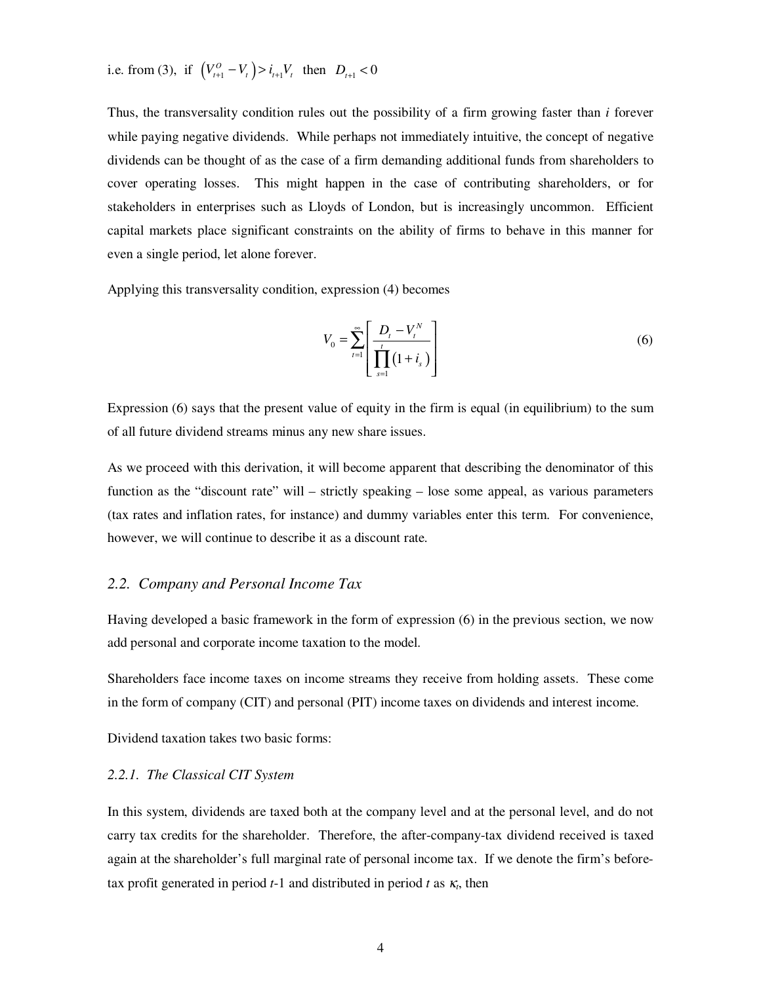i.e. from (3), if  $\left( V_{i+1}^O - V_i \right) > i_{i+1} V_i$  then  $D_{i+1} < 0$ 

Thus, the transversality condition rules out the possibility of a firm growing faster than *i* forever while paying negative dividends. While perhaps not immediately intuitive, the concept of negative dividends can be thought of as the case of a firm demanding additional funds from shareholders to cover operating losses. This might happen in the case of contributing shareholders, or for stakeholders in enterprises such as Lloyds of London, but is increasingly uncommon. Efficient capital markets place significant constraints on the ability of firms to behave in this manner for even a single period, let alone forever.

Applying this transversality condition, expression (4) becomes

$$
V_0 = \sum_{t=1}^{\infty} \left[ \frac{D_t - V_t^N}{\prod_{s=1}^t (1 + i_s)} \right]
$$
 (6)

Expression (6) says that the present value of equity in the firm is equal (in equilibrium) to the sum of all future dividend streams minus any new share issues.

As we proceed with this derivation, it will become apparent that describing the denominator of this function as the "discount rate" will – strictly speaking – lose some appeal, as various parameters (tax rates and inflation rates, for instance) and dummy variables enter this term. For convenience, however, we will continue to describe it as a discount rate.

#### *2.2. Company and Personal Income Tax*

Having developed a basic framework in the form of expression (6) in the previous section, we now add personal and corporate income taxation to the model.

Shareholders face income taxes on income streams they receive from holding assets. These come in the form of company (CIT) and personal (PIT) income taxes on dividends and interest income.

Dividend taxation takes two basic forms:

#### *2.2.1. The Classical CIT System*

In this system, dividends are taxed both at the company level and at the personal level, and do not carry tax credits for the shareholder. Therefore, the after-company-tax dividend received is taxed again at the shareholder's full marginal rate of personal income tax. If we denote the firm's beforetax profit generated in period *t*-1 and distributed in period *t* as <sup>κ</sup>*t*, then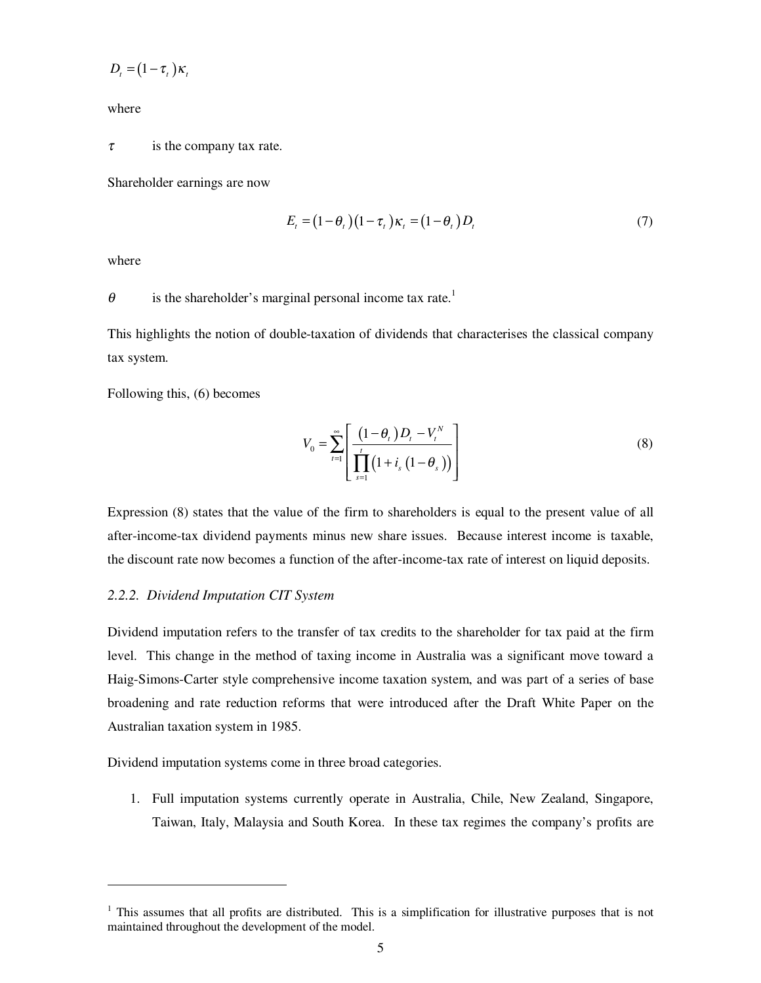$$
D_t = (1 - \tau_t) \kappa_t
$$

where

 $\tau$  is the company tax rate.

Shareholder earnings are now

$$
E_t = (1 - \theta_t)(1 - \tau_t)\kappa_t = (1 - \theta_t)D_t
$$
\n<sup>(7)</sup>

where

-

 $\theta$  is the shareholder's marginal personal income tax rate.<sup>1</sup>

This highlights the notion of double-taxation of dividends that characterises the classical company tax system.

Following this, (6) becomes

$$
V_0 = \sum_{t=1}^{\infty} \left[ \frac{\left(1 - \theta_t\right) D_t - V_t^N}{\prod_{s=1}^t \left(1 + i_s \left(1 - \theta_s\right)\right)} \right]
$$
(8)

Expression (8) states that the value of the firm to shareholders is equal to the present value of all after-income-tax dividend payments minus new share issues. Because interest income is taxable, the discount rate now becomes a function of the after-income-tax rate of interest on liquid deposits.

#### *2.2.2. Dividend Imputation CIT System*

Dividend imputation refers to the transfer of tax credits to the shareholder for tax paid at the firm level. This change in the method of taxing income in Australia was a significant move toward a Haig-Simons-Carter style comprehensive income taxation system, and was part of a series of base broadening and rate reduction reforms that were introduced after the Draft White Paper on the Australian taxation system in 1985.

Dividend imputation systems come in three broad categories.

1. Full imputation systems currently operate in Australia, Chile, New Zealand, Singapore, Taiwan, Italy, Malaysia and South Korea. In these tax regimes the company's profits are

<sup>&</sup>lt;sup>1</sup> This assumes that all profits are distributed. This is a simplification for illustrative purposes that is not maintained throughout the development of the model.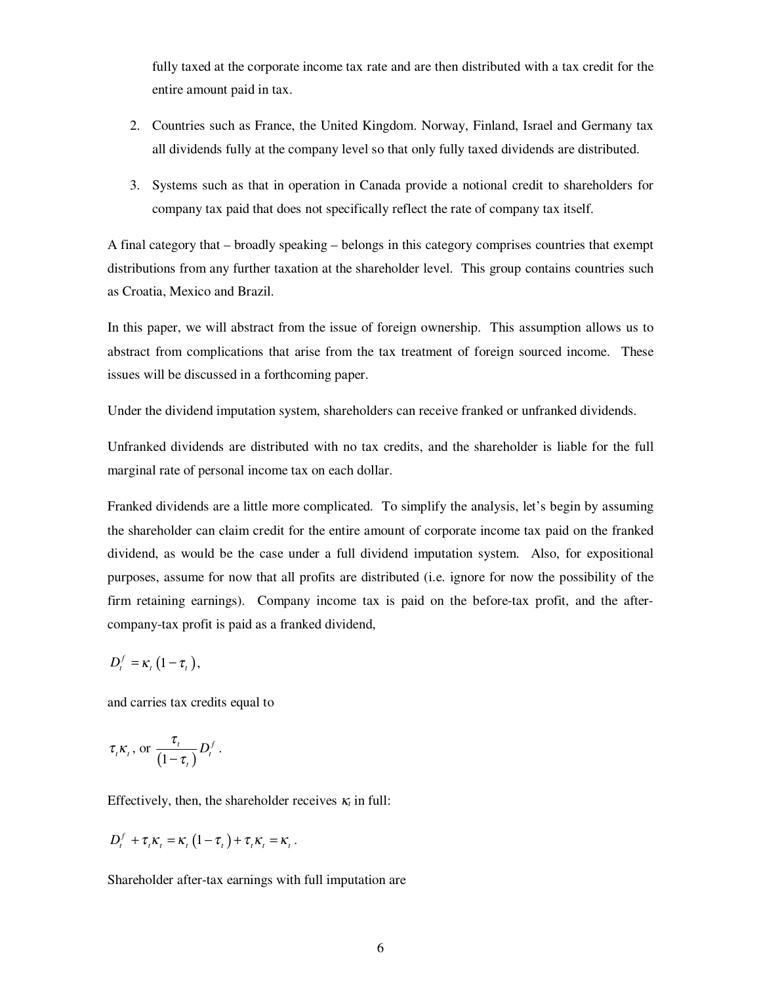fully taxed at the corporate income tax rate and are then distributed with a tax credit for the entire amount paid in tax.

- 2. Countries such as France, the United Kingdom. Norway, Finland, Israel and Germany tax all dividends fully at the company level so that only fully taxed dividends are distributed.
- 3. Systems such as that in operation in Canada provide a notional credit to shareholders for company tax paid that does not specifically reflect the rate of company tax itself.

A final category that – broadly speaking – belongs in this category comprises countries that exempt distributions from any further taxation at the shareholder level. This group contains countries such as Croatia, Mexico and Brazil.

In this paper, we will abstract from the issue of foreign ownership. This assumption allows us to abstract from complications that arise from the tax treatment of foreign sourced income. These issues will be discussed in a forthcoming paper.

Under the dividend imputation system, shareholders can receive franked or unfranked dividends.

Unfranked dividends are distributed with no tax credits, and the shareholder is liable for the full marginal rate of personal income tax on each dollar.

Franked dividends are a little more complicated. To simplify the analysis, let's begin by assuming the shareholder can claim credit for the entire amount of corporate income tax paid on the franked dividend, as would be the case under a full dividend imputation system. Also, for expositional purposes, assume for now that all profits are distributed (i.e. ignore for now the possibility of the firm retaining earnings). Company income tax is paid on the before-tax profit, and the aftercompany-tax profit is paid as a franked dividend,

$$
D_t^f = \kappa_t \left(1 - \tau_t\right),
$$

and carries tax credits equal to

$$
\tau_t \kappa_t
$$
, or  $\frac{\tau_t}{(1-\tau_t)} D_t^f$ .

Effectively, then, the shareholder receives  $\kappa_t$  in full:

$$
D_t^f + \tau_t \kappa_t = \kappa_t (1 - \tau_t) + \tau_t \kappa_t = \kappa_t.
$$

Shareholder after-tax earnings with full imputation are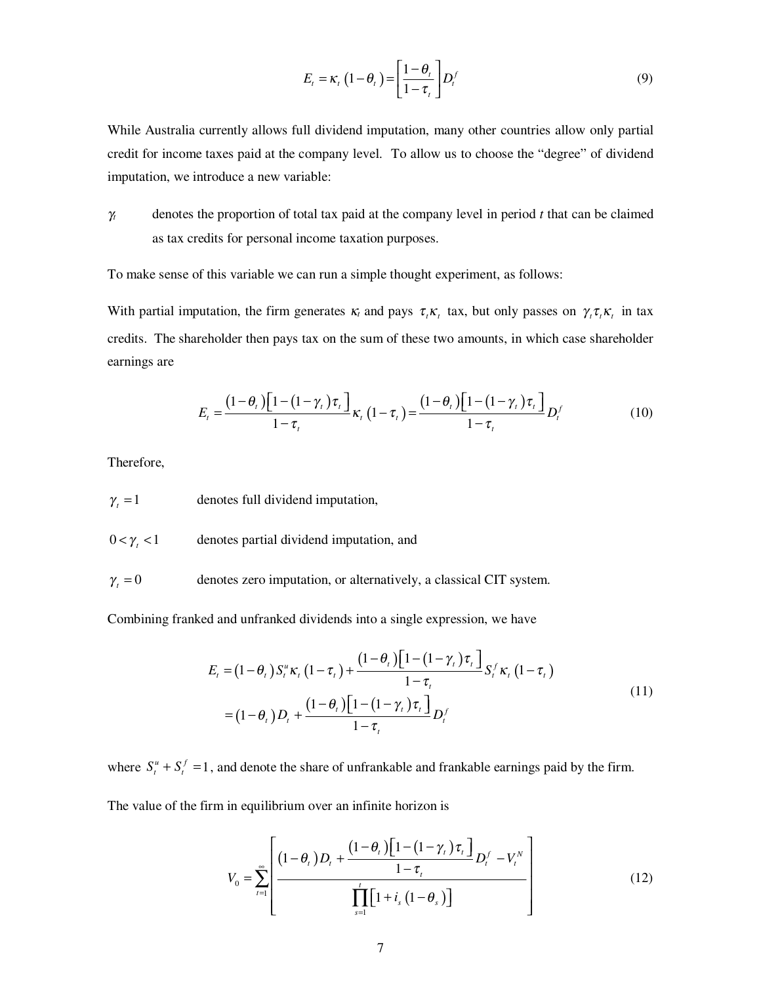$$
E_t = \kappa_t \left(1 - \theta_t\right) = \left[\frac{1 - \theta_t}{1 - \tau_t}\right] D_t^f \tag{9}
$$

While Australia currently allows full dividend imputation, many other countries allow only partial credit for income taxes paid at the company level. To allow us to choose the "degree" of dividend imputation, we introduce a new variable:

γ*<sup>t</sup>* denotes the proportion of total tax paid at the company level in period *t* that can be claimed as tax credits for personal income taxation purposes.

To make sense of this variable we can run a simple thought experiment, as follows:

With partial imputation, the firm generates  $\kappa_t$  and pays  $\tau_t \kappa_t$  tax, but only passes on  $\gamma_t \tau_t \kappa_t$  in tax credits. The shareholder then pays tax on the sum of these two amounts, in which case shareholder earnings are

$$
E_t = \frac{\left(1-\theta_t\right)\left[1-\left(1-\gamma_t\right)\tau_t\right]}{1-\tau_t}\kappa_t\left(1-\tau_t\right) = \frac{\left(1-\theta_t\right)\left[1-\left(1-\gamma_t\right)\tau_t\right]}{1-\tau_t}D_t^f\tag{10}
$$

Therefore,

 $\gamma_t = 1$  denotes full dividend imputation,

 $0 < \gamma_t < 1$  denotes partial dividend imputation, and

 $\gamma_t = 0$  denotes zero imputation, or alternatively, a classical CIT system.

Combining franked and unfranked dividends into a single expression, we have

$$
E_{t} = (1 - \theta_{t}) S_{t}^{u} \kappa_{t} (1 - \tau_{t}) + \frac{(1 - \theta_{t}) [1 - (1 - \gamma_{t}) \tau_{t}]}{1 - \tau_{t}} S_{t}^{f} \kappa_{t} (1 - \tau_{t})
$$
  
=  $(1 - \theta_{t}) D_{t} + \frac{(1 - \theta_{t}) [1 - (1 - \gamma_{t}) \tau_{t}]}{1 - \tau_{t}} D_{t}^{f}$  (11)

where  $S_t^u + S_t^f = 1$ , and denote the share of unfrankable and frankable earnings paid by the firm.

The value of the firm in equilibrium over an infinite horizon is

$$
V_0 = \sum_{t=1}^{\infty} \left[ \frac{(1-\theta_t)D_t + \frac{(1-\theta_t)\left[1-(1-\gamma_t)\tau_t\right]}{1-\tau_t}D_t^f - V_t^N}{\prod_{s=1}^t \left[1+i_s(1-\theta_s)\right]} \right]
$$
(12)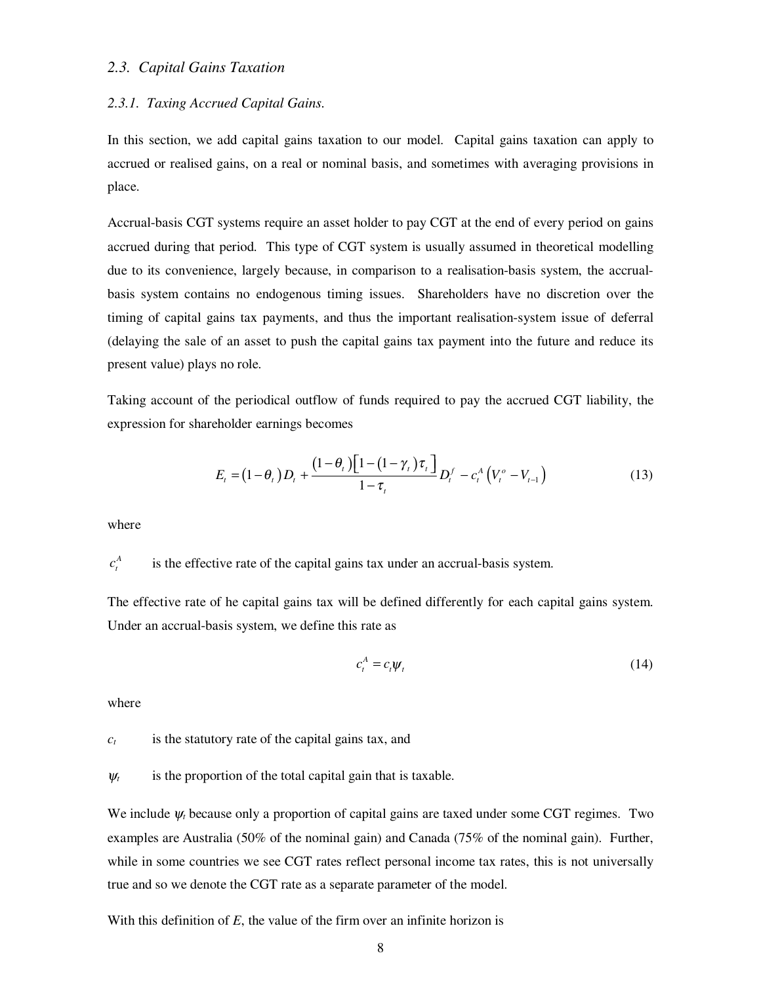#### *2.3. Capital Gains Taxation*

#### *2.3.1. Taxing Accrued Capital Gains.*

In this section, we add capital gains taxation to our model. Capital gains taxation can apply to accrued or realised gains, on a real or nominal basis, and sometimes with averaging provisions in place.

Accrual-basis CGT systems require an asset holder to pay CGT at the end of every period on gains accrued during that period. This type of CGT system is usually assumed in theoretical modelling due to its convenience, largely because, in comparison to a realisation-basis system, the accrualbasis system contains no endogenous timing issues. Shareholders have no discretion over the timing of capital gains tax payments, and thus the important realisation-system issue of deferral (delaying the sale of an asset to push the capital gains tax payment into the future and reduce its present value) plays no role.

Taking account of the periodical outflow of funds required to pay the accrued CGT liability, the expression for shareholder earnings becomes

$$
E_{t} = (1 - \theta_{t})D_{t} + \frac{(1 - \theta_{t})[1 - (1 - \gamma_{t})\tau_{t}]}{1 - \tau_{t}}D_{t}^{f} - c_{t}^{A}(V_{t}^{o} - V_{t-1})
$$
(13)

where

 $c^{A}_{i}$ is the effective rate of the capital gains tax under an accrual-basis system.

The effective rate of he capital gains tax will be defined differently for each capital gains system. Under an accrual-basis system, we define this rate as

$$
c_t^A = c_t \psi_t \tag{14}
$$

where

 $c_t$  is the statutory rate of the capital gains tax, and

 $\psi_t$  is the proportion of the total capital gain that is taxable.

We include  $\psi_t$  because only a proportion of capital gains are taxed under some CGT regimes. Two examples are Australia (50% of the nominal gain) and Canada (75% of the nominal gain). Further, while in some countries we see CGT rates reflect personal income tax rates, this is not universally true and so we denote the CGT rate as a separate parameter of the model.

With this definition of *E*, the value of the firm over an infinite horizon is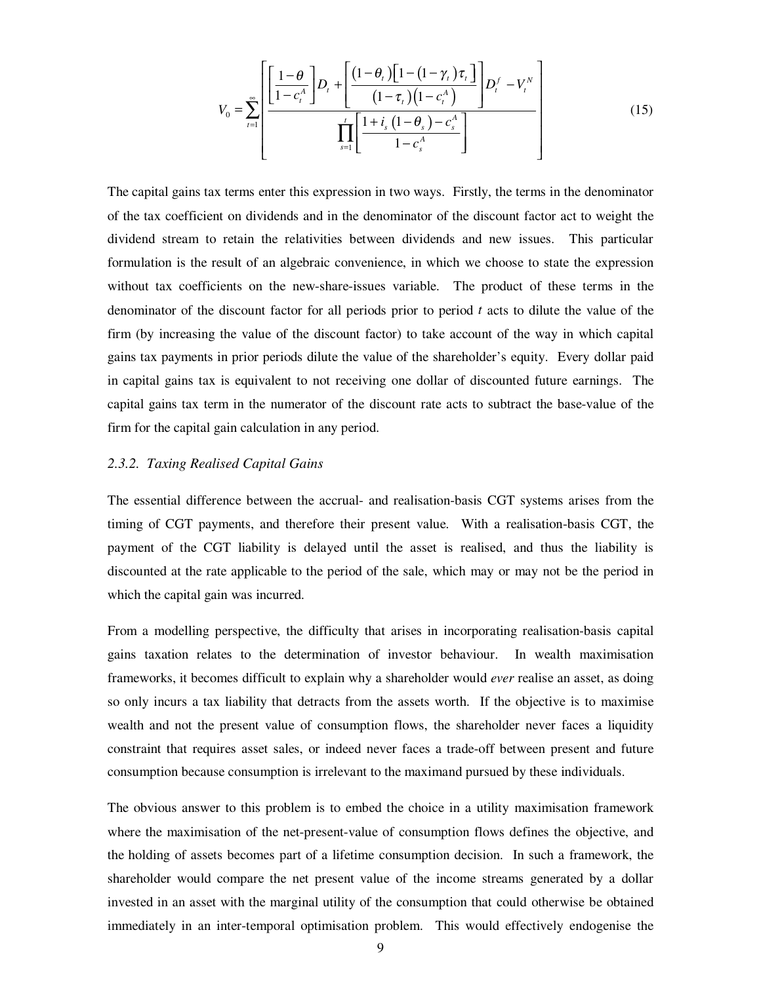$$
V_0 = \sum_{t=1}^{\infty} \left[ \frac{\left[1-\theta \atop 1-c_t^A\right]D_t + \left[\frac{(1-\theta_t)\left[1-(1-\gamma_t)\tau_t\right]}{(1-\tau_t)\left(1-c_t^A\right)}\right]D_t^f - V_t^N}{\prod_{s=1}^t \left[\frac{1+i_s\left(1-\theta_s\right)-c_s^A}{1-c_s^A}\right]}\right]
$$
(15)

The capital gains tax terms enter this expression in two ways. Firstly, the terms in the denominator of the tax coefficient on dividends and in the denominator of the discount factor act to weight the dividend stream to retain the relativities between dividends and new issues. This particular formulation is the result of an algebraic convenience, in which we choose to state the expression without tax coefficients on the new-share-issues variable. The product of these terms in the denominator of the discount factor for all periods prior to period *t* acts to dilute the value of the firm (by increasing the value of the discount factor) to take account of the way in which capital gains tax payments in prior periods dilute the value of the shareholder's equity. Every dollar paid in capital gains tax is equivalent to not receiving one dollar of discounted future earnings. The capital gains tax term in the numerator of the discount rate acts to subtract the base-value of the firm for the capital gain calculation in any period.

#### *2.3.2. Taxing Realised Capital Gains*

The essential difference between the accrual- and realisation-basis CGT systems arises from the timing of CGT payments, and therefore their present value. With a realisation-basis CGT, the payment of the CGT liability is delayed until the asset is realised, and thus the liability is discounted at the rate applicable to the period of the sale, which may or may not be the period in which the capital gain was incurred.

From a modelling perspective, the difficulty that arises in incorporating realisation-basis capital gains taxation relates to the determination of investor behaviour. In wealth maximisation frameworks, it becomes difficult to explain why a shareholder would *ever* realise an asset, as doing so only incurs a tax liability that detracts from the assets worth. If the objective is to maximise wealth and not the present value of consumption flows, the shareholder never faces a liquidity constraint that requires asset sales, or indeed never faces a trade-off between present and future consumption because consumption is irrelevant to the maximand pursued by these individuals.

The obvious answer to this problem is to embed the choice in a utility maximisation framework where the maximisation of the net-present-value of consumption flows defines the objective, and the holding of assets becomes part of a lifetime consumption decision. In such a framework, the shareholder would compare the net present value of the income streams generated by a dollar invested in an asset with the marginal utility of the consumption that could otherwise be obtained immediately in an inter-temporal optimisation problem. This would effectively endogenise the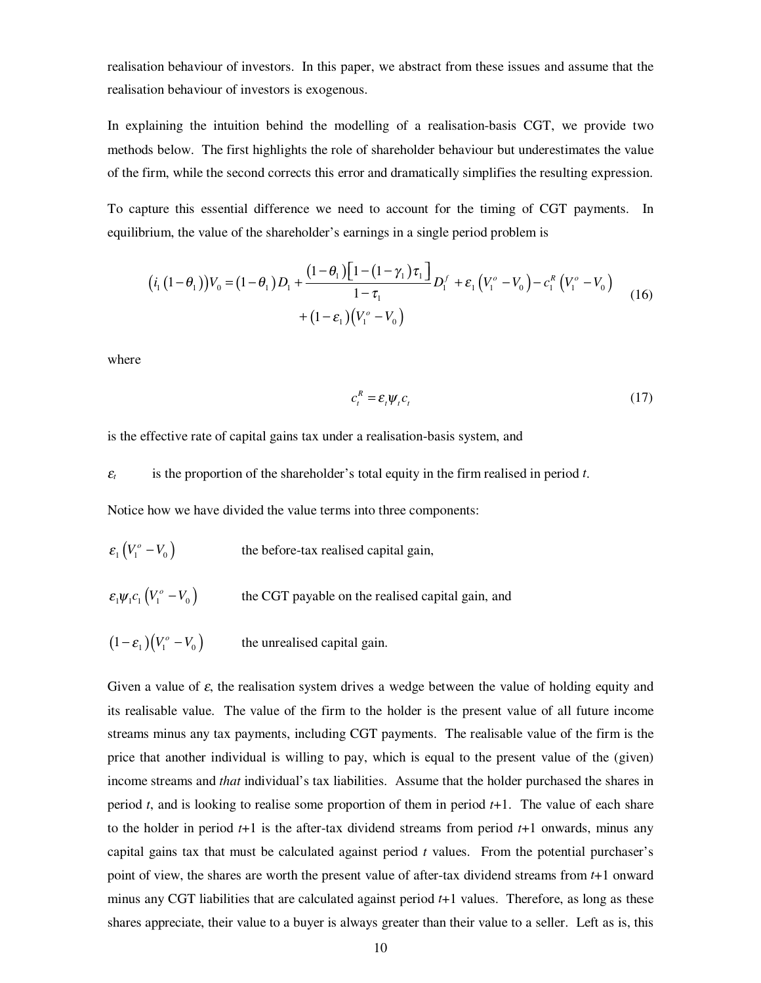realisation behaviour of investors. In this paper, we abstract from these issues and assume that the realisation behaviour of investors is exogenous.

In explaining the intuition behind the modelling of a realisation-basis CGT, we provide two methods below. The first highlights the role of shareholder behaviour but underestimates the value of the firm, while the second corrects this error and dramatically simplifies the resulting expression.

To capture this essential difference we need to account for the timing of CGT payments. In equilibrium, the value of the shareholder's earnings in a single period problem is

$$
(i_1(1-\theta_1))V_0 = (1-\theta_1)D_1 + \frac{(1-\theta_1)[1-(1-\gamma_1)\tau_1]}{1-\tau_1}D_1^f + \varepsilon_1(V_1^o - V_0) - c_1^R(V_1^o - V_0)
$$
  
 
$$
+ (1-\varepsilon_1)(V_1^o - V_0)
$$
 (16)

where

$$
c_t^R = \varepsilon_t \psi_t c_t \tag{17}
$$

is the effective rate of capital gains tax under a realisation-basis system, and

 $\varepsilon$  is the proportion of the shareholder's total equity in the firm realised in period *t*.

Notice how we have divided the value terms into three components:

- $\varepsilon_1 (V_1^o V_0)$  the before-tax realised capital gain,
- $\varepsilon_1 \psi_1 c_1 (V_1^{\circ} V_0)$  the CGT payable on the realised capital gain, and
- $(1 \varepsilon_1)(V_1^{\circ} V_0)$  the unrealised capital gain.

Given a value of  $\varepsilon$ , the realisation system drives a wedge between the value of holding equity and its realisable value. The value of the firm to the holder is the present value of all future income streams minus any tax payments, including CGT payments. The realisable value of the firm is the price that another individual is willing to pay, which is equal to the present value of the (given) income streams and *that* individual's tax liabilities. Assume that the holder purchased the shares in period *t*, and is looking to realise some proportion of them in period *t*+1. The value of each share to the holder in period  $t+1$  is the after-tax dividend streams from period  $t+1$  onwards, minus any capital gains tax that must be calculated against period *t* values. From the potential purchaser's point of view, the shares are worth the present value of after-tax dividend streams from *t*+1 onward minus any CGT liabilities that are calculated against period *t*+1 values. Therefore, as long as these shares appreciate, their value to a buyer is always greater than their value to a seller. Left as is, this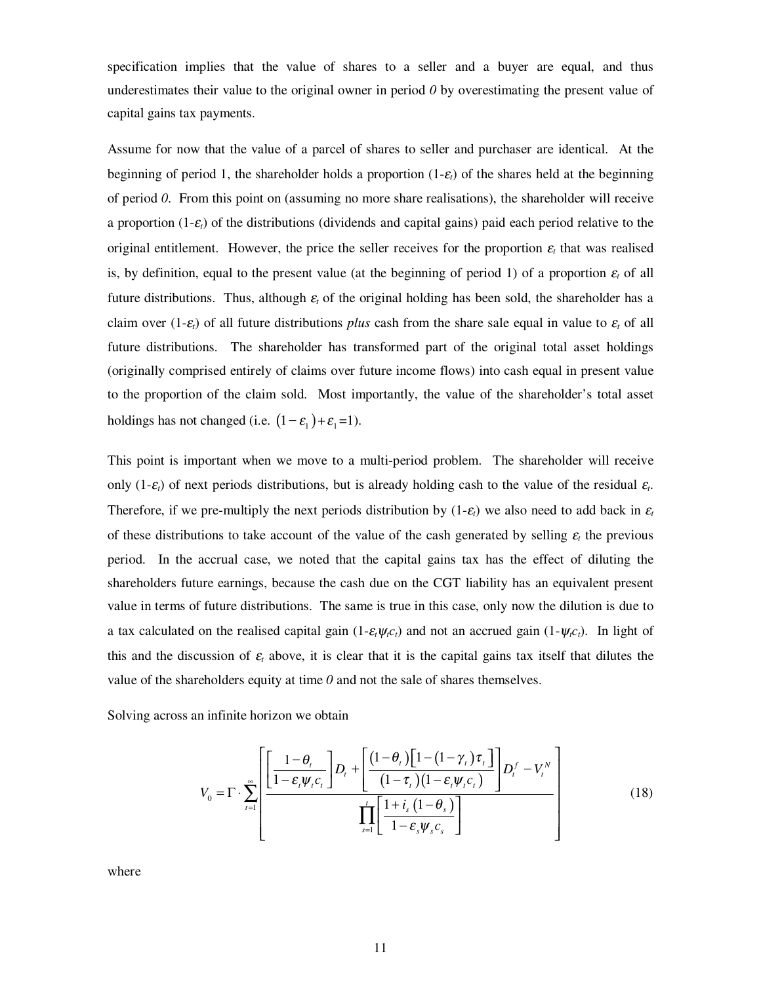specification implies that the value of shares to a seller and a buyer are equal, and thus underestimates their value to the original owner in period *0* by overestimating the present value of capital gains tax payments.

Assume for now that the value of a parcel of shares to seller and purchaser are identical. At the beginning of period 1, the shareholder holds a proportion (1-<sup>ε</sup>*t*) of the shares held at the beginning of period *0*. From this point on (assuming no more share realisations), the shareholder will receive a proportion (1-<sup>ε</sup>*t*) of the distributions (dividends and capital gains) paid each period relative to the original entitlement. However, the price the seller receives for the proportion  $\varepsilon$ , that was realised is, by definition, equal to the present value (at the beginning of period 1) of a proportion  $\varepsilon_t$  of all future distributions. Thus, although <sup>ε</sup>*t* of the original holding has been sold, the shareholder has a claim over  $(1-\varepsilon_t)$  of all future distributions *plus* cash from the share sale equal in value to  $\varepsilon_t$  of all future distributions. The shareholder has transformed part of the original total asset holdings (originally comprised entirely of claims over future income flows) into cash equal in present value to the proportion of the claim sold. Most importantly, the value of the shareholder's total asset holdings has not changed (i.e.  $(1 - \varepsilon_1) + \varepsilon_1 = 1$ ).

This point is important when we move to a multi-period problem. The shareholder will receive only (1- $\varepsilon$ <sub>*t*</sub>) of next periods distributions, but is already holding cash to the value of the residual  $\varepsilon$ <sub>*t*</sub>. Therefore, if we pre-multiply the next periods distribution by  $(1-\varepsilon_t)$  we also need to add back in  $\varepsilon_t$ of these distributions to take account of the value of the cash generated by selling  $\varepsilon_t$  the previous period. In the accrual case, we noted that the capital gains tax has the effect of diluting the shareholders future earnings, because the cash due on the CGT liability has an equivalent present value in terms of future distributions. The same is true in this case, only now the dilution is due to a tax calculated on the realised capital gain  $(1-\varepsilon_t\psi_t c_t)$  and not an accrued gain  $(1-\psi_t c_t)$ . In light of this and the discussion of  $\varepsilon_t$  above, it is clear that it is the capital gains tax itself that dilutes the value of the shareholders equity at time  $\theta$  and not the sale of shares themselves.

Solving across an infinite horizon we obtain

$$
V_0 = \Gamma \cdot \sum_{t=1}^{\infty} \left[ \frac{\left[ \frac{1-\theta_t}{1-\varepsilon_t \psi_t c_t} \right] D_t + \left[ \frac{(1-\theta_t)\left[1-(1-\gamma_t)\tau_t \right]}{(1-\tau_t)(1-\varepsilon_t \psi_t c_t)} \right] D_t^f - V_t^N}{\prod_{s=1}^t \left[ \frac{1+i_s(1-\theta_s)}{1-\varepsilon_s \psi_s c_s} \right]} \right]
$$
(18)

where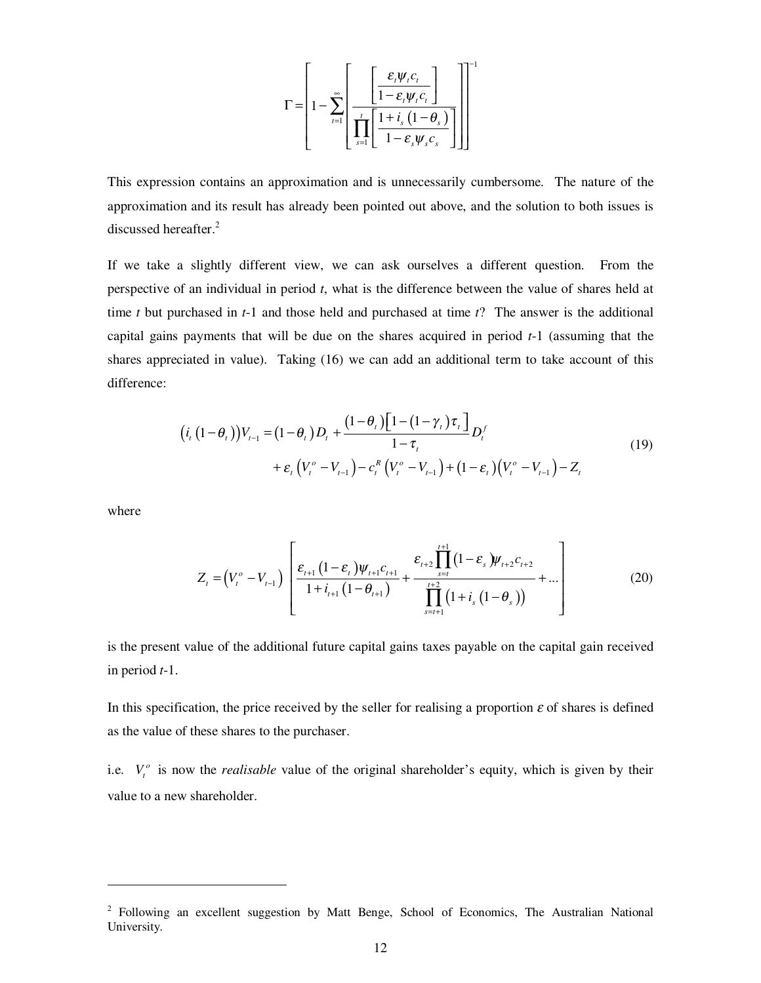$$
\Gamma = \left[1 - \sum_{t=1}^{\infty} \left[ \frac{\left[\frac{\varepsilon_t \psi_t c_t}{1 - \varepsilon_t \psi_t c_t}\right]}{\prod_{s=1}^{t} \left[\frac{1 + i_s (1 - \theta_s)}{1 - \varepsilon_s \psi_s c_s}\right]}\right] \right]^{-1}
$$

This expression contains an approximation and is unnecessarily cumbersome. The nature of the approximation and its result has already been pointed out above, and the solution to both issues is discussed hereafter.<sup>2</sup>

If we take a slightly different view, we can ask ourselves a different question. From the perspective of an individual in period *t*, what is the difference between the value of shares held at time *t* but purchased in *t*-1 and those held and purchased at time *t*? The answer is the additional capital gains payments that will be due on the shares acquired in period *t*-1 (assuming that the shares appreciated in value). Taking (16) we can add an additional term to take account of this difference:

$$
\begin{aligned} \left(i_{t}\left(1-\theta_{t}\right)\right) &V_{t-1} = \left(1-\theta_{t}\right)D_{t} + \frac{\left(1-\theta_{t}\right)\left[1-\left(1-\gamma_{t}\right)\tau_{t}\right]}{1-\tau_{t}}D_{t}^{f} \\ &+ \varepsilon_{t}\left(V_{t}^{o} - V_{t-1}\right) - c_{t}^{R}\left(V_{t}^{o} - V_{t-1}\right) + \left(1-\varepsilon_{t}\right)\left(V_{t}^{o} - V_{t-1}\right) - Z_{t} \end{aligned} \tag{19}
$$

where

-

$$
Z_{t} = (V_{t}^{o} - V_{t-1}) \left[ \frac{\varepsilon_{t+1} (1 - \varepsilon_{t}) \psi_{t+1} c_{t+1}}{1 + i_{t+1} (1 - \theta_{t+1})} + \frac{\varepsilon_{t+2} \prod_{s=t}^{t+1} (1 - \varepsilon_{s}) \psi_{t+2} c_{t+2}}{\prod_{s=t+1}^{t+2} (1 + i_{s} (1 - \theta_{s}))} + \dots \right]
$$
(20)

is the present value of the additional future capital gains taxes payable on the capital gain received in period *t*-1.

In this specification, the price received by the seller for realising a proportion  $\varepsilon$  of shares is defined as the value of these shares to the purchaser.

i.e.  $V_t^o$  is now the *realisable* value of the original shareholder's equity, which is given by their value to a new shareholder.

<sup>&</sup>lt;sup>2</sup> Following an excellent suggestion by Matt Benge, School of Economics, The Australian National University.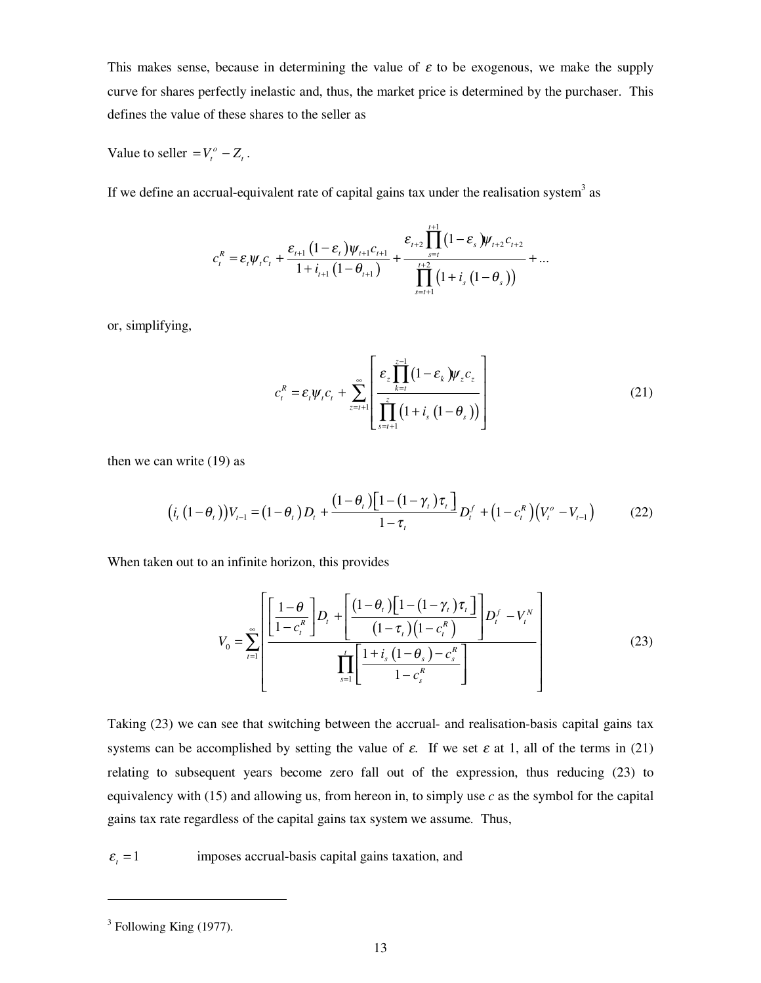This makes sense, because in determining the value of  $\varepsilon$  to be exogenous, we make the supply curve for shares perfectly inelastic and, thus, the market price is determined by the purchaser. This defines the value of these shares to the seller as

Value to seller  $=V_t^o - Z_t$ .

If we define an accrual-equivalent rate of capital gains tax under the realisation system<sup>3</sup> as

$$
c_{t}^{R} = \varepsilon_{t} \psi_{t} c_{t} + \frac{\varepsilon_{t+1} (1 - \varepsilon_{t}) \psi_{t+1} c_{t+1}}{1 + i_{t+1} (1 - \theta_{t+1})} + \frac{\varepsilon_{t+2} \prod_{s=t}^{t+1} (1 - \varepsilon_{s}) \psi_{t+2} c_{t+2}}{\prod_{s=t+1}^{t+2} (1 + i_{s} (1 - \theta_{s}))} + \dots
$$

or, simplifying,

$$
c_t^R = \varepsilon_t \psi_t c_t + \sum_{z=t+1}^{\infty} \left[ \frac{\varepsilon_z \prod_{k=t}^{z-1} (1 - \varepsilon_k) \psi_z c_z}{\prod_{s=t+1}^{z} (1 + i_s (1 - \theta_s))} \right]
$$
(21)

then we can write (19) as

$$
(i_{t}(1-\theta_{t}))V_{t-1} = (1-\theta_{t})D_{t} + \frac{(1-\theta_{t})[1-(1-\gamma_{t})\tau_{t}]}{1-\tau_{t}}D_{t}^{f} + (1-c_{t}^{R})(V_{t}^{o} - V_{t-1})
$$
(22)

When taken out to an infinite horizon, this provides

$$
V_0 = \sum_{r=1}^{\infty} \left[ \frac{\left[ \frac{1-\theta}{1-c_r^R} \right] D_r + \left[ \frac{(1-\theta_r)\left[1-(1-\gamma_r)\tau_r \right]}{(1-\tau_r)(1-c_r^R)} \right] D_r^f - V_r^N}{\prod_{s=1}^t \left[ \frac{1+i_s(1-\theta_s)-c_s^R}{1-c_s^R} \right]} \right]
$$
(23)

Taking (23) we can see that switching between the accrual- and realisation-basis capital gains tax systems can be accomplished by setting the value of  $\varepsilon$ . If we set  $\varepsilon$  at 1, all of the terms in (21) relating to subsequent years become zero fall out of the expression, thus reducing (23) to equivalency with  $(15)$  and allowing us, from hereon in, to simply use *c* as the symbol for the capital gains tax rate regardless of the capital gains tax system we assume. Thus,

 $\varepsilon$ <sub>*t*</sub> = 1 imposes accrual-basis capital gains taxation, and

<u>.</u>

 $3$  Following King (1977).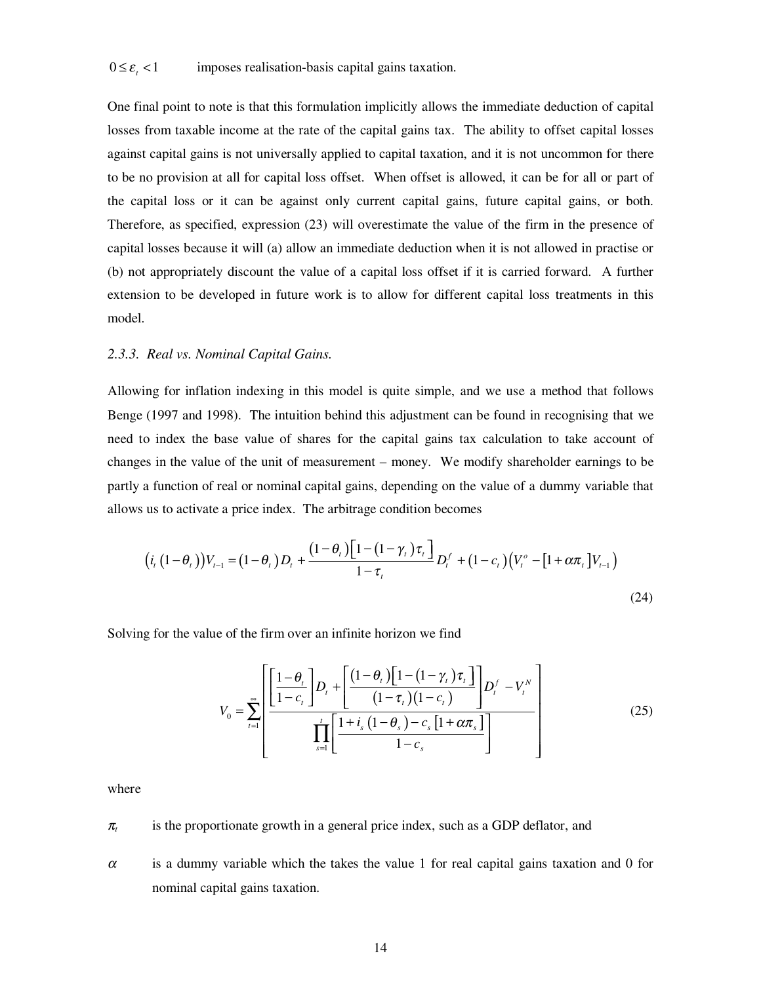One final point to note is that this formulation implicitly allows the immediate deduction of capital losses from taxable income at the rate of the capital gains tax. The ability to offset capital losses against capital gains is not universally applied to capital taxation, and it is not uncommon for there to be no provision at all for capital loss offset. When offset is allowed, it can be for all or part of the capital loss or it can be against only current capital gains, future capital gains, or both. Therefore, as specified, expression (23) will overestimate the value of the firm in the presence of capital losses because it will (a) allow an immediate deduction when it is not allowed in practise or (b) not appropriately discount the value of a capital loss offset if it is carried forward. A further extension to be developed in future work is to allow for different capital loss treatments in this model.

#### *2.3.3. Real vs. Nominal Capital Gains.*

Allowing for inflation indexing in this model is quite simple, and we use a method that follows Benge (1997 and 1998). The intuition behind this adjustment can be found in recognising that we need to index the base value of shares for the capital gains tax calculation to take account of changes in the value of the unit of measurement – money. We modify shareholder earnings to be partly a function of real or nominal capital gains, depending on the value of a dummy variable that allows us to activate a price index. The arbitrage condition becomes

$$
(i_{t}(1-\theta_{t}))V_{t-1} = (1-\theta_{t})D_{t} + \frac{(1-\theta_{t})\left[1-(1-\gamma_{t})\tau_{t}\right]}{1-\tau_{t}}D_{t}^{f} + (1-c_{t})\left(V_{t}^{o} - [1+\alpha\pi_{t}]V_{t-1}\right)
$$
\n(24)

Solving for the value of the firm over an infinite horizon we find

$$
V_0 = \sum_{t=1}^{\infty} \left[ \frac{\left[1-\theta_t}{1-c_t}\right] D_t + \left[\frac{(1-\theta_t)\left[1-(1-\gamma_t)\tau_t\right]}{(1-\tau_t)(1-c_t)}\right] D_t^f - V_t^N \right] - \prod_{s=1}^t \left[ \frac{1+i_s(1-\theta_s)-c_s[1+\alpha\pi_s]}{1-c_s} \right] \tag{25}
$$

where

 $\pi$  is the proportionate growth in a general price index, such as a GDP deflator, and

 $\alpha$  is a dummy variable which the takes the value 1 for real capital gains taxation and 0 for nominal capital gains taxation.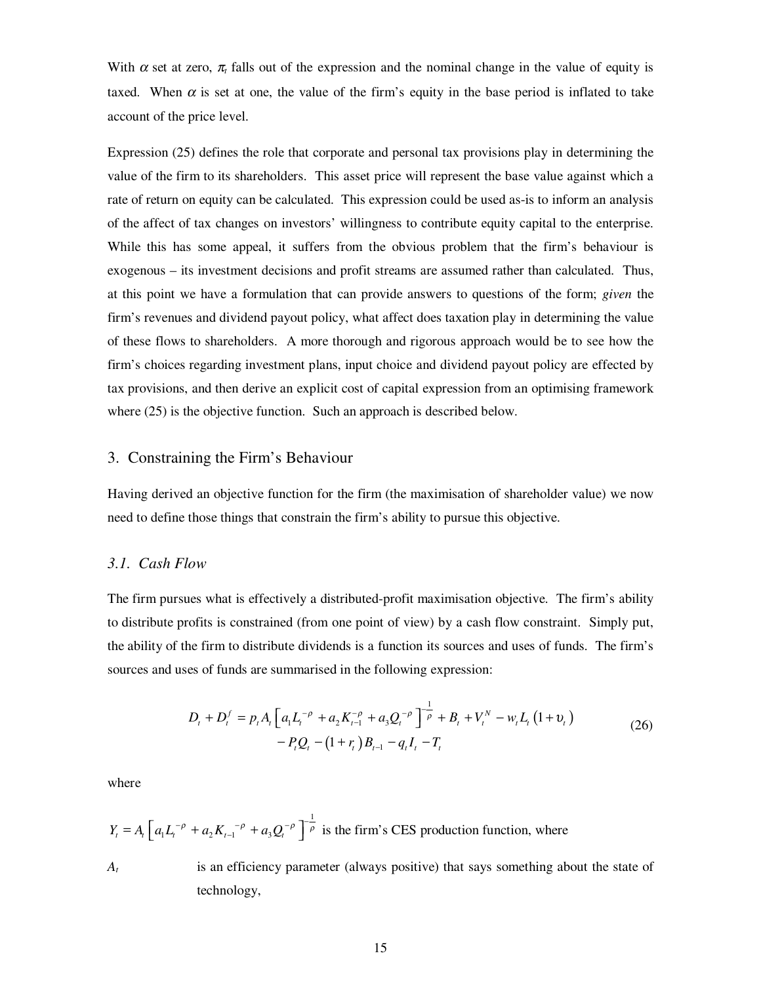With  $\alpha$  set at zero,  $\pi_t$  falls out of the expression and the nominal change in the value of equity is taxed. When  $\alpha$  is set at one, the value of the firm's equity in the base period is inflated to take account of the price level.

Expression (25) defines the role that corporate and personal tax provisions play in determining the value of the firm to its shareholders. This asset price will represent the base value against which a rate of return on equity can be calculated. This expression could be used as-is to inform an analysis of the affect of tax changes on investors' willingness to contribute equity capital to the enterprise. While this has some appeal, it suffers from the obvious problem that the firm's behaviour is exogenous – its investment decisions and profit streams are assumed rather than calculated. Thus, at this point we have a formulation that can provide answers to questions of the form; *given* the firm's revenues and dividend payout policy, what affect does taxation play in determining the value of these flows to shareholders. A more thorough and rigorous approach would be to see how the firm's choices regarding investment plans, input choice and dividend payout policy are effected by tax provisions, and then derive an explicit cost of capital expression from an optimising framework where  $(25)$  is the objective function. Such an approach is described below.

#### 3. Constraining the Firm's Behaviour

Having derived an objective function for the firm (the maximisation of shareholder value) we now need to define those things that constrain the firm's ability to pursue this objective.

#### *3.1. Cash Flow*

The firm pursues what is effectively a distributed-profit maximisation objective. The firm's ability to distribute profits is constrained (from one point of view) by a cash flow constraint. Simply put, the ability of the firm to distribute dividends is a function its sources and uses of funds. The firm's sources and uses of funds are summarised in the following expression:

$$
D_{t} + D_{t}^{f} = p_{t} A_{t} \left[ a_{1} L_{t}^{-\rho} + a_{2} K_{t-1}^{-\rho} + a_{3} Q_{t}^{-\rho} \right]^{-\frac{1}{\rho}} + B_{t} + V_{t}^{N} - w_{t} L_{t} \left( 1 + v_{t} \right) - P_{t} Q_{t} - \left( 1 + r_{t} \right) B_{t-1} - q_{t} I_{t} - T_{t}
$$
\n(26)

where

$$
Y_t = A_t \left[ a_1 L_t^{-\rho} + a_2 K_{t-1}^{-\rho} + a_3 Q_t^{-\rho} \right]^{-\frac{1}{\rho}}
$$
 is the firm's CES production function, where

*At* is an efficiency parameter (always positive) that says something about the state of technology,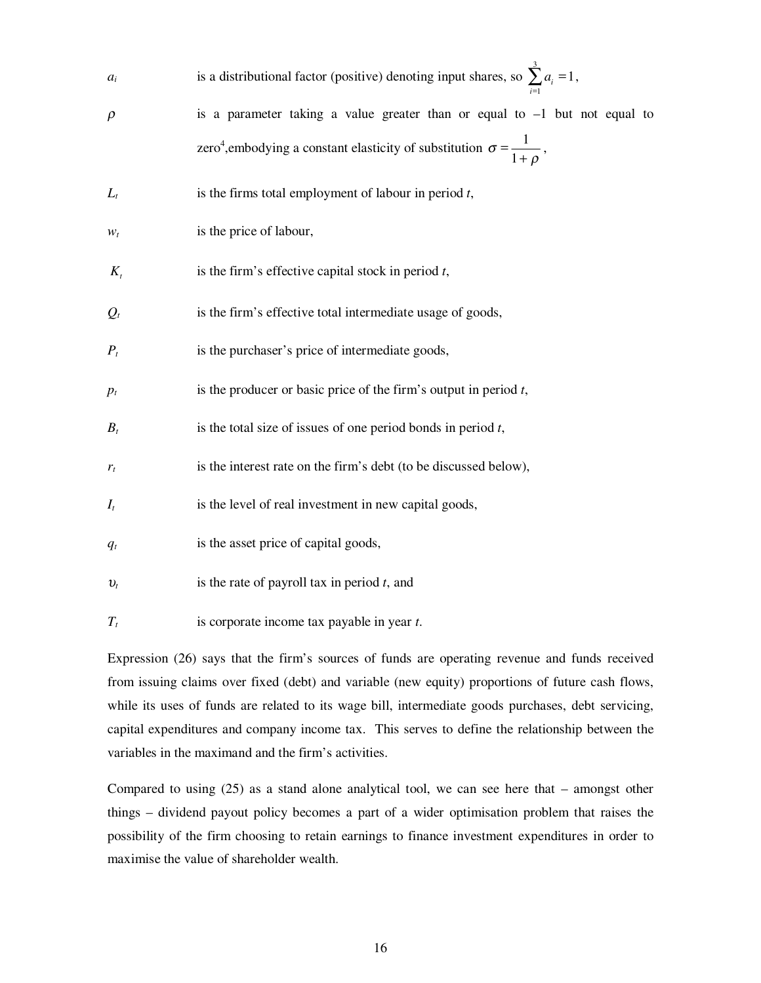| $a_i$   | is a distributional factor (positive) denoting input shares, so $\sum a_i = 1$ ,                  |
|---------|---------------------------------------------------------------------------------------------------|
| $\rho$  | is a parameter taking a value greater than or equal to $-1$ but not equal to                      |
|         | zero <sup>4</sup> , embodying a constant elasticity of substitution $\sigma = \frac{1}{1+\rho}$ , |
| $L_t$   | is the firms total employment of labour in period $t$ ,                                           |
| $W_t$   | is the price of labour,                                                                           |
| $K_{i}$ | is the firm's effective capital stock in period $t$ ,                                             |
| $Q_t$   | is the firm's effective total intermediate usage of goods,                                        |
| $P_t$   | is the purchaser's price of intermediate goods,                                                   |
| $p_t$   | is the producer or basic price of the firm's output in period $t$ ,                               |
| $B_t$   | is the total size of issues of one period bonds in period $t$ ,                                   |
| $r_t$   | is the interest rate on the firm's debt (to be discussed below),                                  |
| $I_t$   | is the level of real investment in new capital goods,                                             |
| $q_t$   | is the asset price of capital goods,                                                              |
| $v_t$   | is the rate of payroll tax in period $t$ , and                                                    |
| $T_t$   | is corporate income tax payable in year t.                                                        |

Expression (26) says that the firm's sources of funds are operating revenue and funds received from issuing claims over fixed (debt) and variable (new equity) proportions of future cash flows, while its uses of funds are related to its wage bill, intermediate goods purchases, debt servicing, capital expenditures and company income tax. This serves to define the relationship between the variables in the maximand and the firm's activities.

Compared to using (25) as a stand alone analytical tool, we can see here that – amongst other things – dividend payout policy becomes a part of a wider optimisation problem that raises the possibility of the firm choosing to retain earnings to finance investment expenditures in order to maximise the value of shareholder wealth.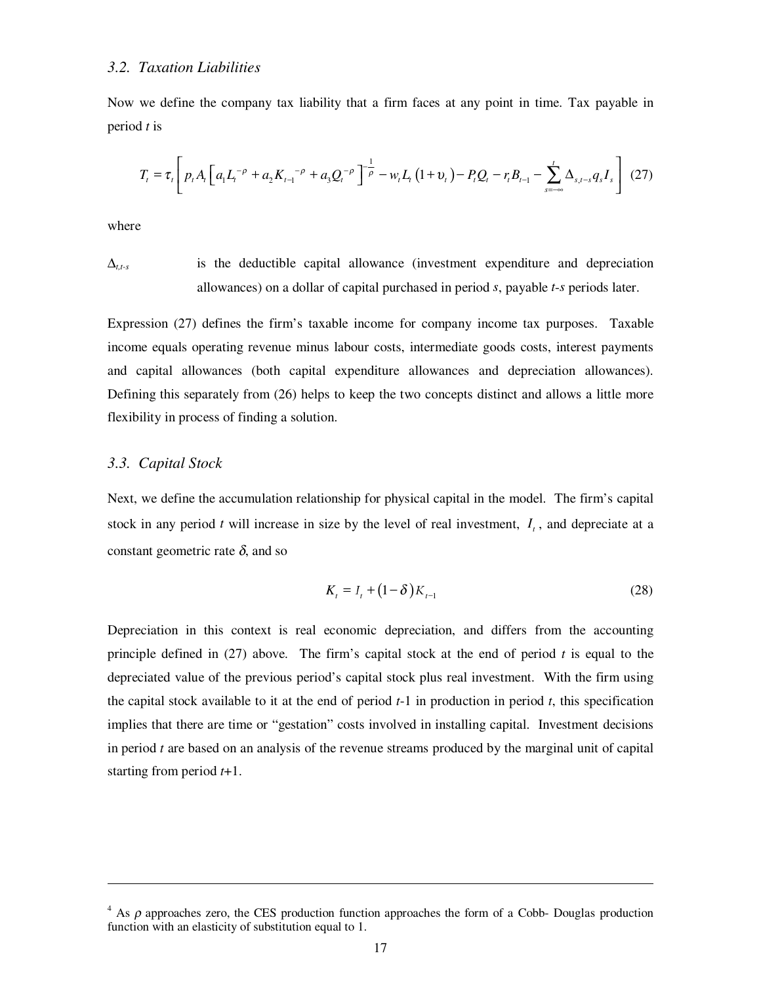#### *3.2. Taxation Liabilities*

Now we define the company tax liability that a firm faces at any point in time. Tax payable in period *t* is

$$
T_{t} = \tau_{t} \left[ p_{t} A_{t} \left[ a_{1} L_{t}^{-\rho} + a_{2} K_{t-1}^{-\rho} + a_{3} Q_{t}^{-\rho} \right]^{-\frac{1}{\rho}} - w_{t} L_{t} \left( 1 + v_{t} \right) - P_{t} Q_{t} - r_{t} B_{t-1} - \sum_{s=-\infty}^{t} \Delta_{s, t-s} q_{s} I_{s} \right] (27)
$$

where

-

 $\Delta_{t,ts}$  is the deductible capital allowance (investment expenditure and depreciation allowances) on a dollar of capital purchased in period *s*, payable *t*-*s* periods later.

Expression (27) defines the firm's taxable income for company income tax purposes. Taxable income equals operating revenue minus labour costs, intermediate goods costs, interest payments and capital allowances (both capital expenditure allowances and depreciation allowances). Defining this separately from (26) helps to keep the two concepts distinct and allows a little more flexibility in process of finding a solution.

#### *3.3. Capital Stock*

Next, we define the accumulation relationship for physical capital in the model. The firm's capital stock in any period  $t$  will increase in size by the level of real investment,  $I_t$ , and depreciate at a constant geometric rate  $\delta$ , and so

$$
K_{t} = I_{t} + (1 - \delta) K_{t-1}
$$
 (28)

Depreciation in this context is real economic depreciation, and differs from the accounting principle defined in (27) above. The firm's capital stock at the end of period *t* is equal to the depreciated value of the previous period's capital stock plus real investment. With the firm using the capital stock available to it at the end of period *t*-1 in production in period *t*, this specification implies that there are time or "gestation" costs involved in installing capital. Investment decisions in period *t* are based on an analysis of the revenue streams produced by the marginal unit of capital starting from period *t*+1.

 $4$  As  $\rho$  approaches zero, the CES production function approaches the form of a Cobb- Douglas production function with an elasticity of substitution equal to 1.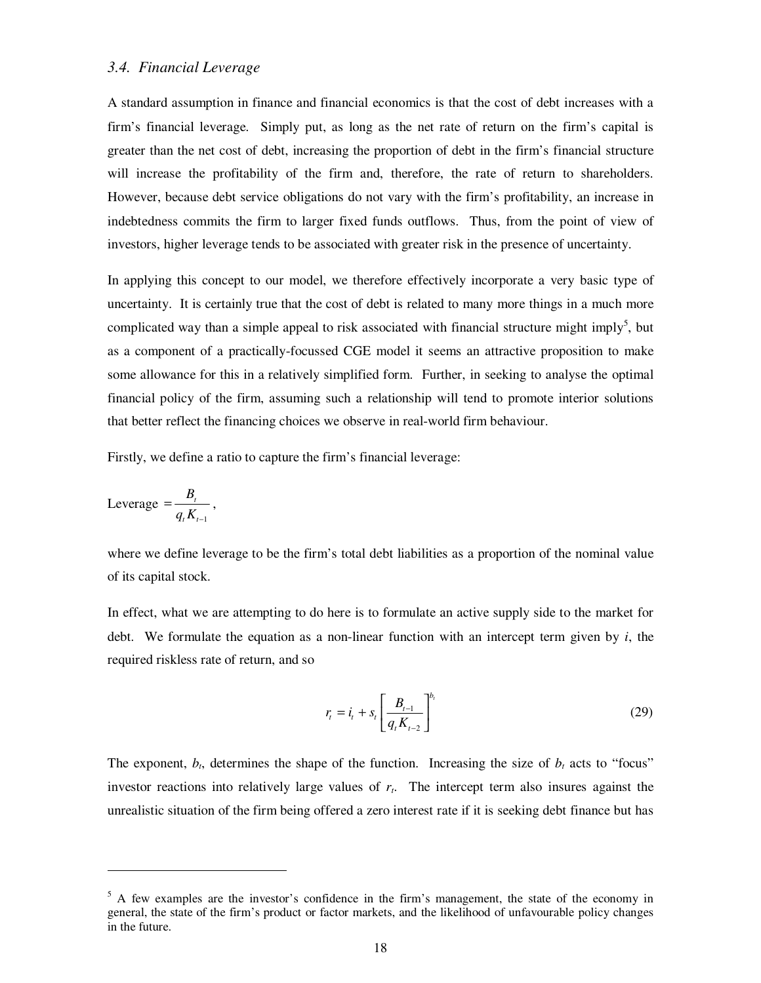#### *3.4. Financial Leverage*

A standard assumption in finance and financial economics is that the cost of debt increases with a firm's financial leverage. Simply put, as long as the net rate of return on the firm's capital is greater than the net cost of debt, increasing the proportion of debt in the firm's financial structure will increase the profitability of the firm and, therefore, the rate of return to shareholders. However, because debt service obligations do not vary with the firm's profitability, an increase in indebtedness commits the firm to larger fixed funds outflows. Thus, from the point of view of investors, higher leverage tends to be associated with greater risk in the presence of uncertainty.

In applying this concept to our model, we therefore effectively incorporate a very basic type of uncertainty. It is certainly true that the cost of debt is related to many more things in a much more complicated way than a simple appeal to risk associated with financial structure might imply<sup>5</sup>, but as a component of a practically-focussed CGE model it seems an attractive proposition to make some allowance for this in a relatively simplified form. Further, in seeking to analyse the optimal financial policy of the firm, assuming such a relationship will tend to promote interior solutions that better reflect the financing choices we observe in real-world firm behaviour.

Firstly, we define a ratio to capture the firm's financial leverage:

$$
Leverage = \frac{B_t}{q_t K_{t-1}},
$$

-

where we define leverage to be the firm's total debt liabilities as a proportion of the nominal value of its capital stock.

In effect, what we are attempting to do here is to formulate an active supply side to the market for debt. We formulate the equation as a non-linear function with an intercept term given by *i*, the required riskless rate of return, and so

$$
r_{t} = i_{t} + s_{t} \left[ \frac{B_{t-1}}{q_{t} K_{t-2}} \right]^{b_{t}}
$$
 (29)

The exponent,  $b_t$ , determines the shape of the function. Increasing the size of  $b_t$  acts to "focus" investor reactions into relatively large values of  $r<sub>t</sub>$ . The intercept term also insures against the unrealistic situation of the firm being offered a zero interest rate if it is seeking debt finance but has

<sup>&</sup>lt;sup>5</sup> A few examples are the investor's confidence in the firm's management, the state of the economy in general, the state of the firm's product or factor markets, and the likelihood of unfavourable policy changes in the future.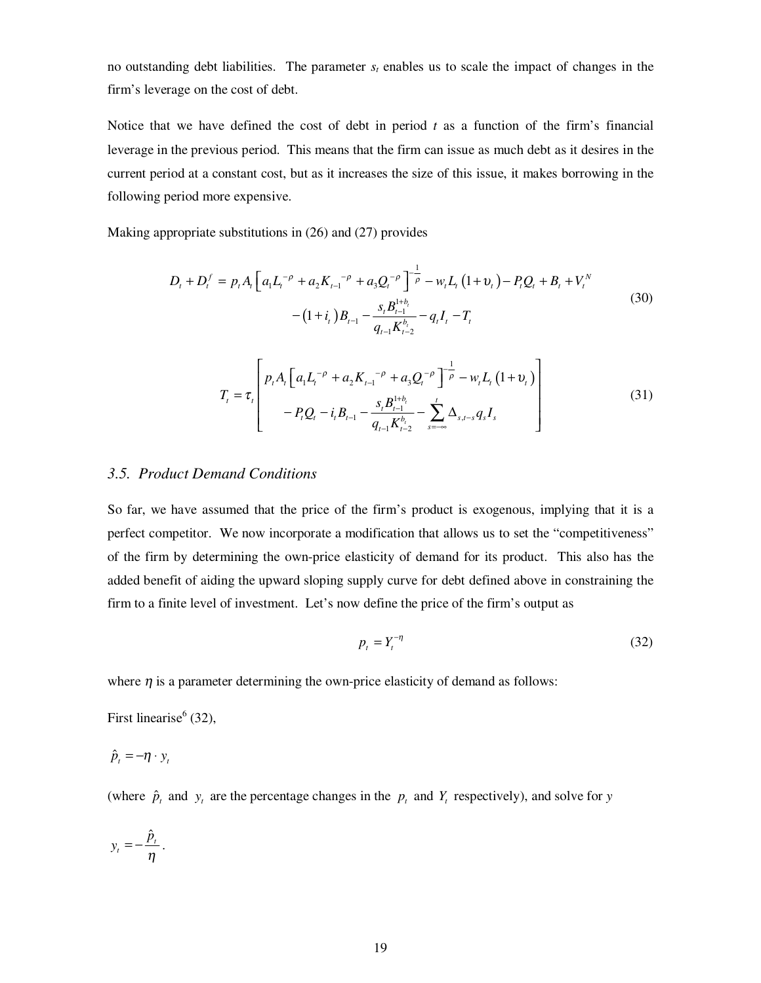no outstanding debt liabilities. The parameter  $s_t$  enables us to scale the impact of changes in the firm's leverage on the cost of debt.

Notice that we have defined the cost of debt in period *t* as a function of the firm's financial leverage in the previous period. This means that the firm can issue as much debt as it desires in the current period at a constant cost, but as it increases the size of this issue, it makes borrowing in the following period more expensive.

Making appropriate substitutions in (26) and (27) provides

$$
D_{t} + D_{t}^{f} = p_{t} A_{t} \left[ a_{1} L_{t}^{-\rho} + a_{2} K_{t-1}^{-\rho} + a_{3} Q_{t}^{-\rho} \right]^{-\frac{1}{\rho}} - w_{t} L_{t} \left( 1 + v_{t} \right) - P_{t} Q_{t} + B_{t} + V_{t}^{N}
$$
\n
$$
- (1 + i_{t}) B_{t-1} - \frac{s_{t} B_{t-1}^{1+b_{t}}}{q_{t-1} K_{t-2}^{b_{t}}} - q_{t} I_{t} - T_{t}
$$
\n
$$
T_{t} = \tau_{t} \left[ p_{t} A_{t} \left[ a_{1} L_{t}^{-\rho} + a_{2} K_{t-1}^{-\rho} + a_{3} Q_{t}^{-\rho} \right]^{-\frac{1}{\rho}} - w_{t} L_{t} \left( 1 + v_{t} \right) \right] - P_{t} Q_{t} - i_{t} B_{t-1} - \frac{s_{t} B_{t-1}^{1+b_{t}}}{q_{t-1} K_{t-2}^{b_{t}}} - \sum_{s=-\infty}^{t} \Delta_{s, t-s} q_{s} I_{s} \qquad (31)
$$

#### *3.5. Product Demand Conditions*

So far, we have assumed that the price of the firm's product is exogenous, implying that it is a perfect competitor. We now incorporate a modification that allows us to set the "competitiveness" of the firm by determining the own-price elasticity of demand for its product. This also has the added benefit of aiding the upward sloping supply curve for debt defined above in constraining the firm to a finite level of investment. Let's now define the price of the firm's output as

$$
p_t = Y_t^{-\eta} \tag{32}
$$

where  $\eta$  is a parameter determining the own-price elasticity of demand as follows:

First linearise $<sup>6</sup>$  (32),</sup>

$$
\hat{p}_t = -\eta \cdot y_t
$$

(where  $\hat{p}_t$  and  $y_t$  are the percentage changes in the  $p_t$  and  $Y_t$  respectively), and solve for *y* 

$$
y_t = -\frac{\hat{p}_t}{\eta}.
$$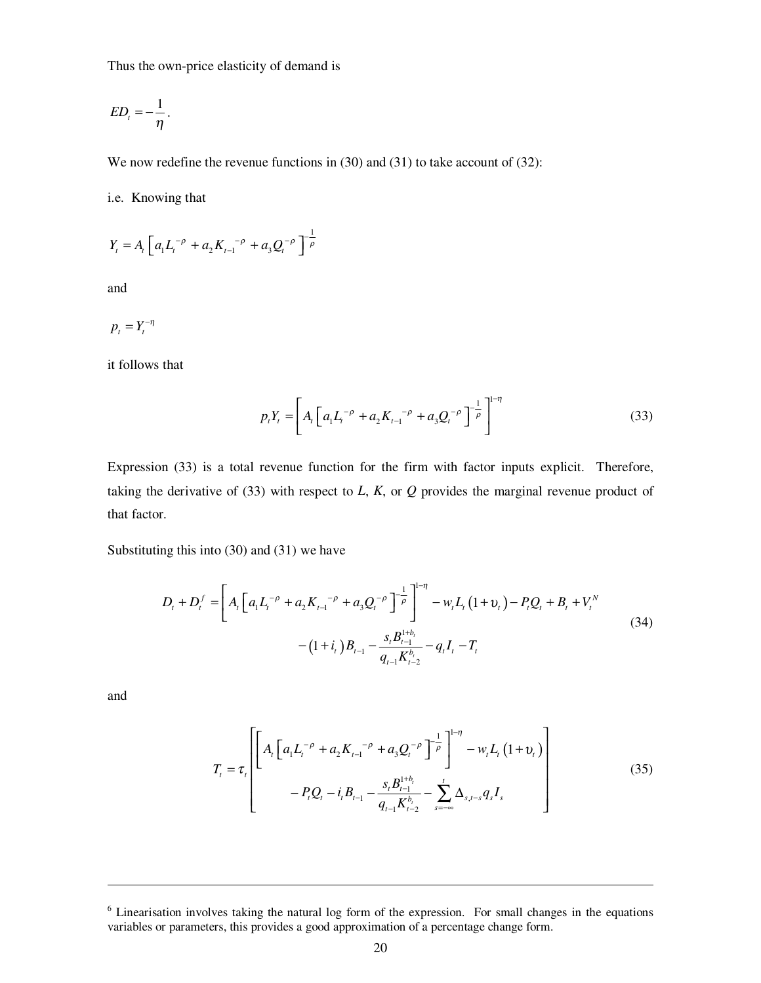Thus the own-price elasticity of demand is

$$
ED_{t}=-\frac{1}{\eta}.
$$

We now redefine the revenue functions in (30) and (31) to take account of (32):

i.e. Knowing that

$$
Y_{t} = A_{t} \left[ a_{1} L_{t}^{-\rho} + a_{2} K_{t-1}^{-\rho} + a_{3} Q_{t}^{-\rho} \right]^{-\frac{1}{\rho}}
$$

and

$$
p_t = Y_t^{-\eta}
$$

it follows that

$$
p_t Y_t = \left[ A_t \left[ a_1 L_t^{-\rho} + a_2 K_{t-1}^{-\rho} + a_3 Q_t^{-\rho} \right]^{-\frac{1}{\rho}} \right]^{1-\eta}
$$
(33)

Expression (33) is a total revenue function for the firm with factor inputs explicit. Therefore, taking the derivative of  $(33)$  with respect to *L*, *K*, or *Q* provides the marginal revenue product of that factor.

Substituting this into (30) and (31) we have

$$
D_{t} + D_{t}^{f} = \left[ A_{t} \left[ a_{1} L_{t}^{-\rho} + a_{2} K_{t-1}^{-\rho} + a_{3} Q_{t}^{-\rho} \right]^{-\frac{1}{\rho}} \right]^{-\eta} - w_{t} L_{t} \left( 1 + v_{t} \right) - P_{t} Q_{t} + B_{t} + V_{t}^{N}
$$
\n
$$
- \left( 1 + i_{t} \right) B_{t-1} - \frac{s_{t} B_{t-1}^{1 + b_{t}}}{q_{t-1} K_{t-2}^{b_{t}} - q_{t} I_{t} - T_{t}
$$
\n
$$
(34)
$$

and

-

$$
T_{t} = \tau_{t} \left[ \left[ A_{t} \left[ a_{1} L_{t}^{-\rho} + a_{2} K_{t-1}^{-\rho} + a_{3} Q_{t}^{-\rho} \right]^{-\frac{1}{\rho}} \right]^{-\eta} - w_{t} L_{t} \left( 1 + v_{t} \right) \right] - P_{t} Q_{t} - i_{t} B_{t-1} - \frac{s_{t} B_{t-1}^{1 + b_{t}}}{q_{t-1} K_{t-2}^{b_{t}}} - \sum_{s=-\infty}^{t} \Delta_{s, t-s} q_{s} I_{s} \right]
$$
(35)

<sup>&</sup>lt;sup>6</sup> Linearisation involves taking the natural log form of the expression. For small changes in the equations variables or parameters, this provides a good approximation of a percentage change form.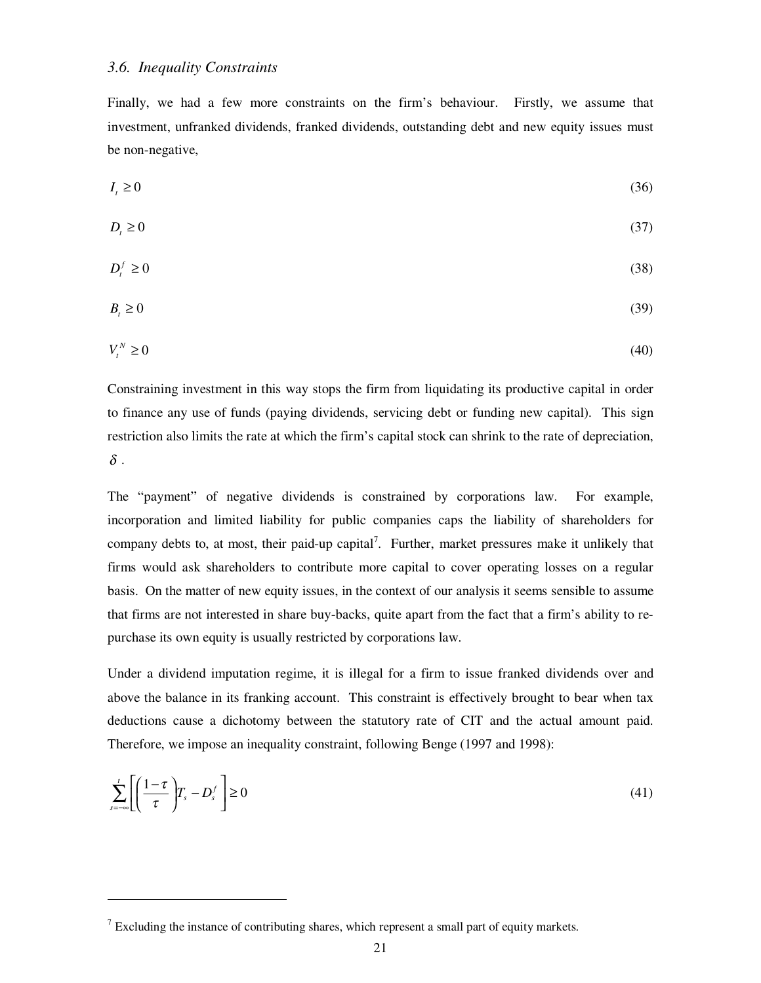Finally, we had a few more constraints on the firm's behaviour. Firstly, we assume that investment, unfranked dividends, franked dividends, outstanding debt and new equity issues must be non-negative,

$$
I_t \ge 0 \tag{36}
$$

$$
D_t \ge 0 \tag{37}
$$

$$
D_t^f \ge 0 \tag{38}
$$

$$
B_t \ge 0\tag{39}
$$

$$
V_t^N \ge 0 \tag{40}
$$

Constraining investment in this way stops the firm from liquidating its productive capital in order to finance any use of funds (paying dividends, servicing debt or funding new capital). This sign restriction also limits the rate at which the firm's capital stock can shrink to the rate of depreciation,  $\delta$  .

The "payment" of negative dividends is constrained by corporations law. For example, incorporation and limited liability for public companies caps the liability of shareholders for company debts to, at most, their paid-up capital<sup>7</sup>. Further, market pressures make it unlikely that firms would ask shareholders to contribute more capital to cover operating losses on a regular basis. On the matter of new equity issues, in the context of our analysis it seems sensible to assume that firms are not interested in share buy-backs, quite apart from the fact that a firm's ability to repurchase its own equity is usually restricted by corporations law.

Under a dividend imputation regime, it is illegal for a firm to issue franked dividends over and above the balance in its franking account. This constraint is effectively brought to bear when tax deductions cause a dichotomy between the statutory rate of CIT and the actual amount paid. Therefore, we impose an inequality constraint, following Benge (1997 and 1998):

$$
\sum_{s=-\infty}^{t} \left[ \left( \frac{1-\tau}{\tau} \right) T_s - D_s^f \right] \ge 0 \tag{41}
$$

<u>.</u>

 $7$  Excluding the instance of contributing shares, which represent a small part of equity markets.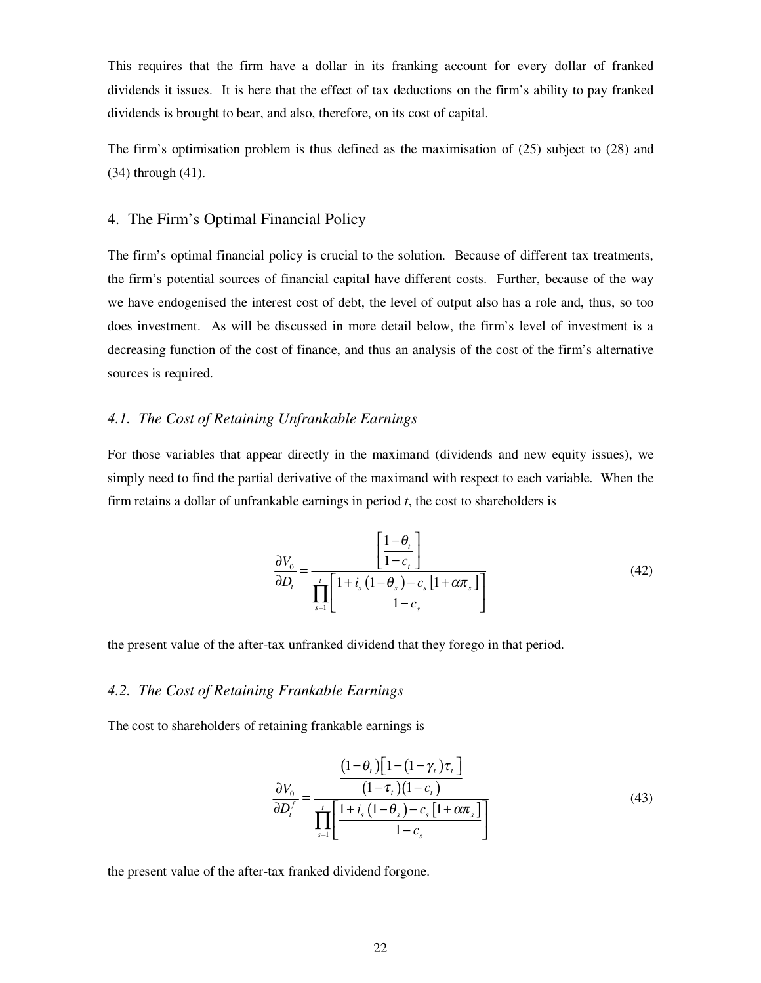This requires that the firm have a dollar in its franking account for every dollar of franked dividends it issues. It is here that the effect of tax deductions on the firm's ability to pay franked dividends is brought to bear, and also, therefore, on its cost of capital.

The firm's optimisation problem is thus defined as the maximisation of (25) subject to (28) and (34) through (41).

#### 4. The Firm's Optimal Financial Policy

The firm's optimal financial policy is crucial to the solution. Because of different tax treatments, the firm's potential sources of financial capital have different costs. Further, because of the way we have endogenised the interest cost of debt, the level of output also has a role and, thus, so too does investment. As will be discussed in more detail below, the firm's level of investment is a decreasing function of the cost of finance, and thus an analysis of the cost of the firm's alternative sources is required.

#### *4.1. The Cost of Retaining Unfrankable Earnings*

For those variables that appear directly in the maximand (dividends and new equity issues), we simply need to find the partial derivative of the maximand with respect to each variable. When the firm retains a dollar of unfrankable earnings in period *t*, the cost to shareholders is

$$
\frac{\partial V_0}{\partial D_t} = \frac{\left[\frac{1-\theta_t}{1-c_t}\right]}{\prod_{s=1}^t \left[\frac{1+i_s\left(1-\theta_s\right)-c_s\left[1+\alpha\pi_s\right]}{1-c_s}\right]}
$$
(42)

the present value of the after-tax unfranked dividend that they forego in that period.

#### *4.2. The Cost of Retaining Frankable Earnings*

The cost to shareholders of retaining frankable earnings is

$$
\frac{\partial V_0}{\partial D_t^f} = \frac{\left(1 - \theta_t\right)\left[1 - \left(1 - \gamma_t\right)\tau_t\right]}{\left(1 - \tau_t\right)\left(1 - c_t\right)}
$$
\n
$$
\frac{\partial D_t^f}{\partial D_t^f} = \frac{1}{\prod_{s=1}^t \left[\frac{1 + i_s\left(1 - \theta_s\right) - c_s\left[1 + \alpha\pi_s\right]}{1 - c_s}\right]}
$$
\n
$$
(43)
$$

the present value of the after-tax franked dividend forgone.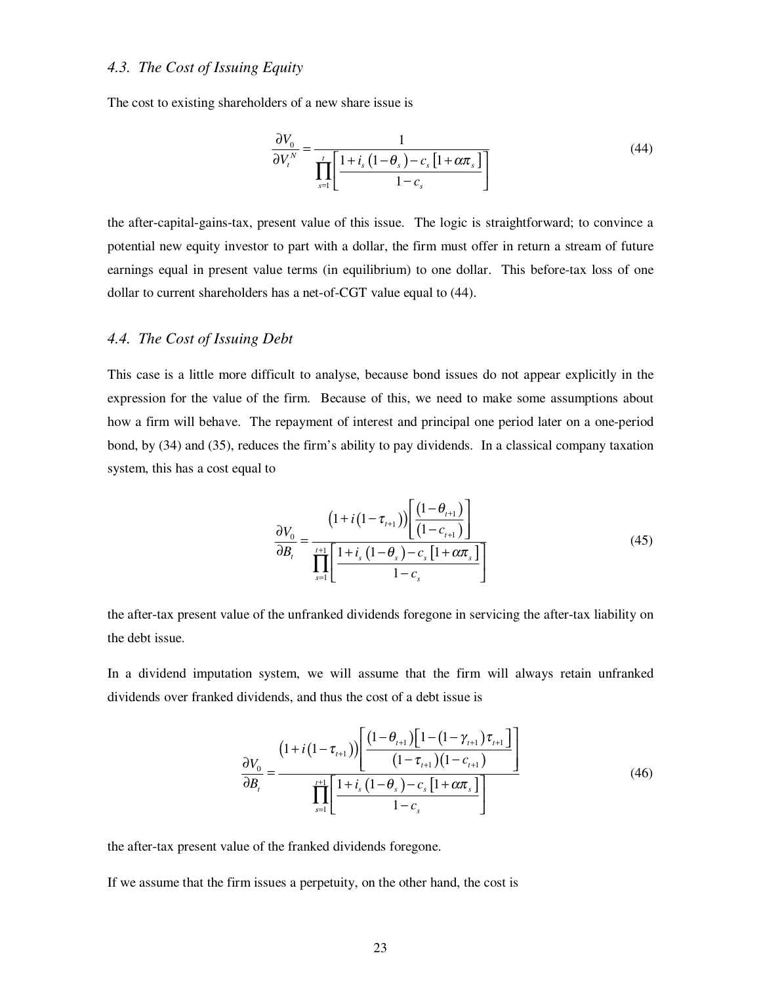#### *4.3. The Cost of Issuing Equity*

The cost to existing shareholders of a new share issue is

$$
\frac{\partial V_0}{\partial V_t^N} = \frac{1}{\prod_{s=1}^t \left[ \frac{1+i_s \left(1-\theta_s\right) - c_s \left[1+\alpha \pi_s\right]}{1-c_s} \right]}
$$
(44)

the after-capital-gains-tax, present value of this issue. The logic is straightforward; to convince a potential new equity investor to part with a dollar, the firm must offer in return a stream of future earnings equal in present value terms (in equilibrium) to one dollar. This before-tax loss of one dollar to current shareholders has a net-of-CGT value equal to (44).

#### *4.4. The Cost of Issuing Debt*

This case is a little more difficult to analyse, because bond issues do not appear explicitly in the expression for the value of the firm. Because of this, we need to make some assumptions about how a firm will behave. The repayment of interest and principal one period later on a one-period bond, by (34) and (35), reduces the firm's ability to pay dividends. In a classical company taxation system, this has a cost equal to

$$
\frac{\partial V_0}{\partial B_t} = \frac{\left(1 + i\left(1 - \tau_{t+1}\right)\right) \left[\frac{\left(1 - \theta_{t+1}\right)}{\left(1 - c_{t+1}\right)}\right]}{\prod_{s=1}^{t+1} \left[\frac{1 + i_s\left(1 - \theta_s\right) - c_s\left[1 + \alpha \pi_s\right]}{1 - c_s}\right]}
$$
(45)

the after-tax present value of the unfranked dividends foregone in servicing the after-tax liability on the debt issue.

In a dividend imputation system, we will assume that the firm will always retain unfranked dividends over franked dividends, and thus the cost of a debt issue is

$$
\frac{\partial V_{0}}{\partial B_{t}} = \frac{\left(1 + i\left(1 - \tau_{t+1}\right)\right) \left[\frac{\left(1 - \theta_{t+1}\right) \left[1 - \left(1 - \gamma_{t+1}\right) \tau_{t+1}\right]}{\left(1 - \tau_{t+1}\right) \left(1 - c_{t+1}\right)}\right]}{\prod_{s=1}^{t+1} \left[\frac{1 + i_{s}\left(1 - \theta_{s}\right) - c_{s}\left[1 + \alpha \pi_{s}\right]}{1 - c_{s}}\right]}
$$
(46)

the after-tax present value of the franked dividends foregone.

If we assume that the firm issues a perpetuity, on the other hand, the cost is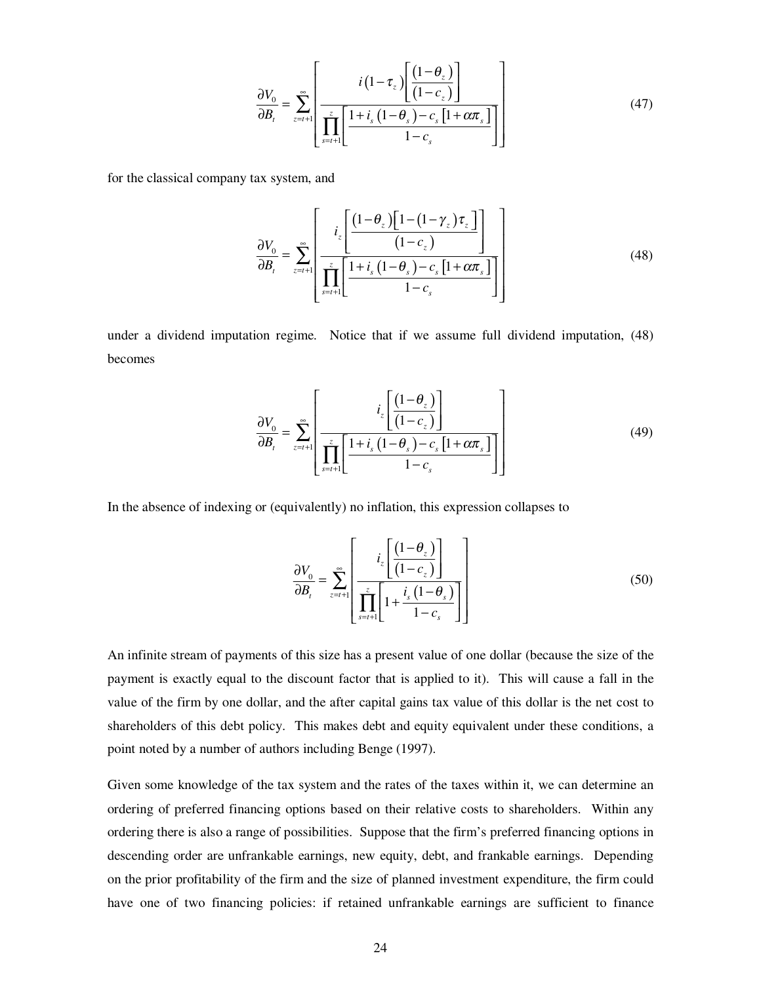$$
\frac{\partial V_0}{\partial B_t} = \sum_{z=t+1}^{\infty} \left[ \frac{i(1-\tau_z)\left[\frac{(1-\theta_z)}{(1-c_z)}\right]}{\prod_{s=t+1}^{z}\left[\frac{1+i_s(1-\theta_s)-c_s[1+\alpha\pi_s]}{1-c_s}\right]} \right]
$$
(47)

for the classical company tax system, and

$$
\frac{\partial V_0}{\partial B_t} = \sum_{z=t+1}^{\infty} \left[ \frac{i_z \left[ \frac{\left(1-\theta_z\right)\left[1-\left(1-\gamma_z\right)\tau_z\right]}{\left(1-c_z\right)}\right]}{\prod_{s=t+1}^{z} \left[ \frac{1+i_s\left(1-\theta_s\right)-c_s\left[1+\alpha\pi_s\right]}{1-c_s} \right]} \right]
$$
(48)

under a dividend imputation regime. Notice that if we assume full dividend imputation, (48) becomes

$$
\frac{\partial V_0}{\partial B_t} = \sum_{z=t+1}^{\infty} \left[ \frac{i_z \left[ \frac{\left(1 - \theta_z\right)}{\left(1 - c_z\right)}\right]}{\prod_{s=t+1}^{z} \left[ \frac{1 + i_s \left(1 - \theta_s\right) - c_s \left[1 + \alpha \pi_s\right]}{1 - c_s}\right]} \right]
$$
(49)

In the absence of indexing or (equivalently) no inflation, this expression collapses to

$$
\frac{\partial V_0}{\partial B_i} = \sum_{z=t+1}^{\infty} \left[ \frac{i_z \left[ \frac{\left(1 - \theta_z\right)}{\left(1 - c_z\right)}\right]}{\prod_{s=t+1}^{z} \left[1 + \frac{i_s \left(1 - \theta_s\right)}{1 - c_s}\right]} \right]
$$
(50)

An infinite stream of payments of this size has a present value of one dollar (because the size of the payment is exactly equal to the discount factor that is applied to it). This will cause a fall in the value of the firm by one dollar, and the after capital gains tax value of this dollar is the net cost to shareholders of this debt policy. This makes debt and equity equivalent under these conditions, a point noted by a number of authors including Benge (1997).

Given some knowledge of the tax system and the rates of the taxes within it, we can determine an ordering of preferred financing options based on their relative costs to shareholders. Within any ordering there is also a range of possibilities. Suppose that the firm's preferred financing options in descending order are unfrankable earnings, new equity, debt, and frankable earnings. Depending on the prior profitability of the firm and the size of planned investment expenditure, the firm could have one of two financing policies: if retained unfrankable earnings are sufficient to finance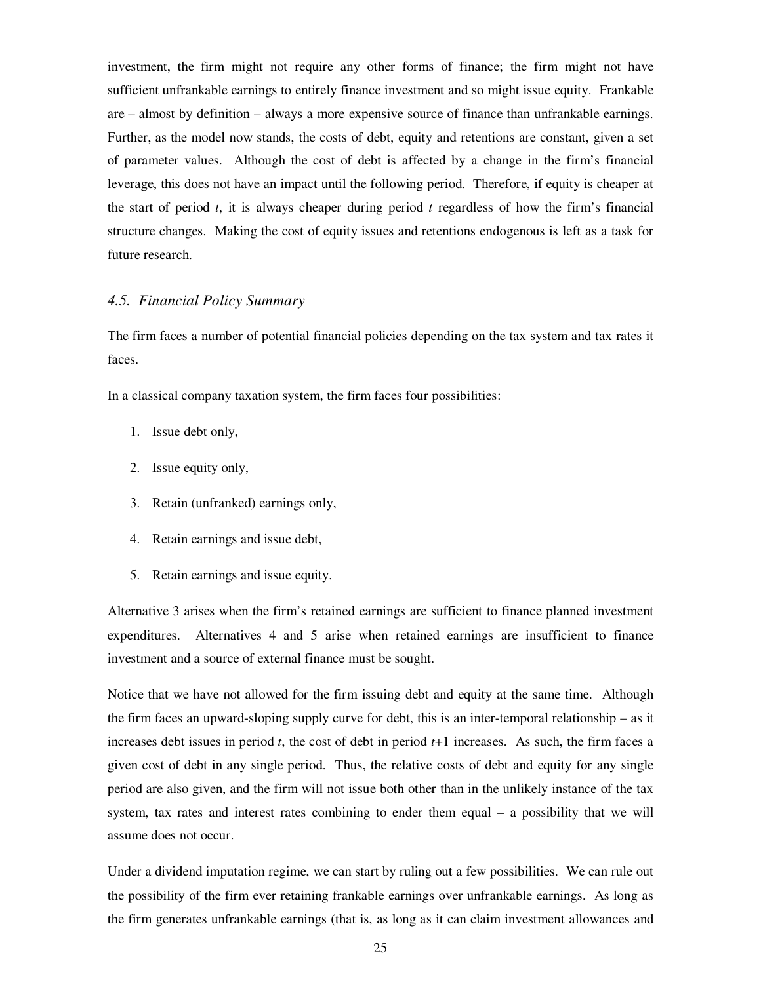investment, the firm might not require any other forms of finance; the firm might not have sufficient unfrankable earnings to entirely finance investment and so might issue equity. Frankable are – almost by definition – always a more expensive source of finance than unfrankable earnings. Further, as the model now stands, the costs of debt, equity and retentions are constant, given a set of parameter values. Although the cost of debt is affected by a change in the firm's financial leverage, this does not have an impact until the following period. Therefore, if equity is cheaper at the start of period *t*, it is always cheaper during period *t* regardless of how the firm's financial structure changes. Making the cost of equity issues and retentions endogenous is left as a task for future research.

#### *4.5. Financial Policy Summary*

The firm faces a number of potential financial policies depending on the tax system and tax rates it faces.

In a classical company taxation system, the firm faces four possibilities:

- 1. Issue debt only,
- 2. Issue equity only,
- 3. Retain (unfranked) earnings only,
- 4. Retain earnings and issue debt,
- 5. Retain earnings and issue equity.

Alternative 3 arises when the firm's retained earnings are sufficient to finance planned investment expenditures. Alternatives 4 and 5 arise when retained earnings are insufficient to finance investment and a source of external finance must be sought.

Notice that we have not allowed for the firm issuing debt and equity at the same time. Although the firm faces an upward-sloping supply curve for debt, this is an inter-temporal relationship – as it increases debt issues in period *t*, the cost of debt in period *t*+1 increases. As such, the firm faces a given cost of debt in any single period. Thus, the relative costs of debt and equity for any single period are also given, and the firm will not issue both other than in the unlikely instance of the tax system, tax rates and interest rates combining to ender them equal – a possibility that we will assume does not occur.

Under a dividend imputation regime, we can start by ruling out a few possibilities. We can rule out the possibility of the firm ever retaining frankable earnings over unfrankable earnings. As long as the firm generates unfrankable earnings (that is, as long as it can claim investment allowances and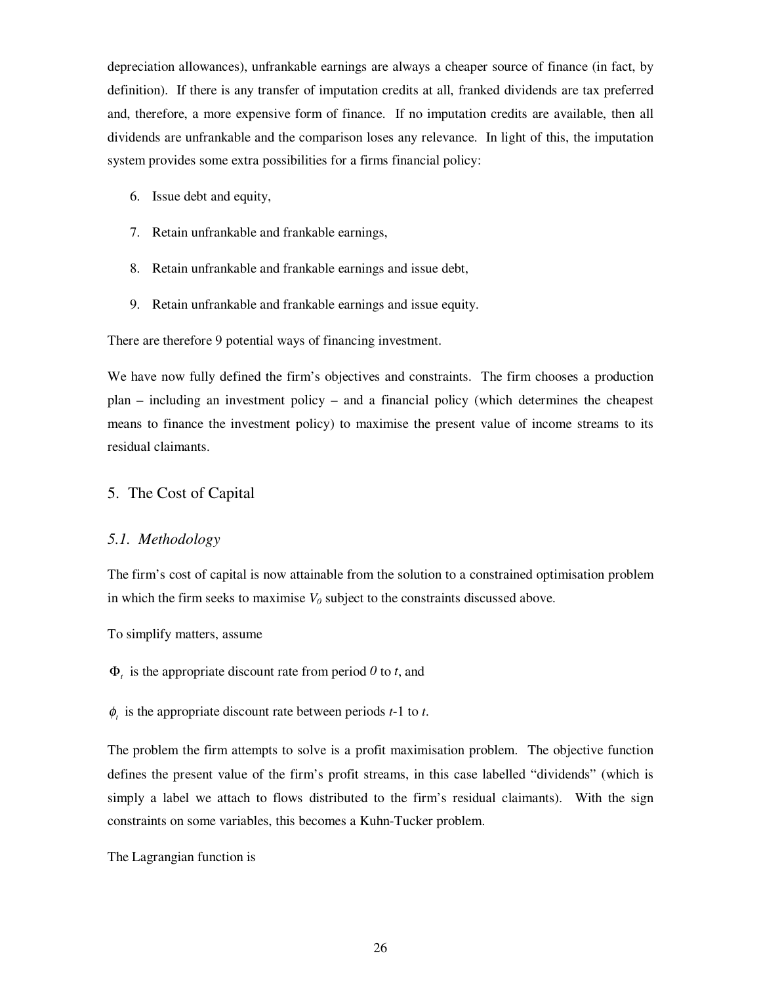depreciation allowances), unfrankable earnings are always a cheaper source of finance (in fact, by definition). If there is any transfer of imputation credits at all, franked dividends are tax preferred and, therefore, a more expensive form of finance. If no imputation credits are available, then all dividends are unfrankable and the comparison loses any relevance. In light of this, the imputation system provides some extra possibilities for a firms financial policy:

- 6. Issue debt and equity,
- 7. Retain unfrankable and frankable earnings,
- 8. Retain unfrankable and frankable earnings and issue debt,
- 9. Retain unfrankable and frankable earnings and issue equity.

There are therefore 9 potential ways of financing investment.

We have now fully defined the firm's objectives and constraints. The firm chooses a production plan – including an investment policy – and a financial policy (which determines the cheapest means to finance the investment policy) to maximise the present value of income streams to its residual claimants.

#### 5. The Cost of Capital

#### *5.1. Methodology*

The firm's cost of capital is now attainable from the solution to a constrained optimisation problem in which the firm seeks to maximise  $V_0$  subject to the constraints discussed above.

To simplify matters, assume

 $\Phi_t$  is the appropriate discount rate from period 0 to *t*, and

 $\phi$ , is the appropriate discount rate between periods  $t-1$  to  $t$ .

The problem the firm attempts to solve is a profit maximisation problem. The objective function defines the present value of the firm's profit streams, in this case labelled "dividends" (which is simply a label we attach to flows distributed to the firm's residual claimants). With the sign constraints on some variables, this becomes a Kuhn-Tucker problem.

The Lagrangian function is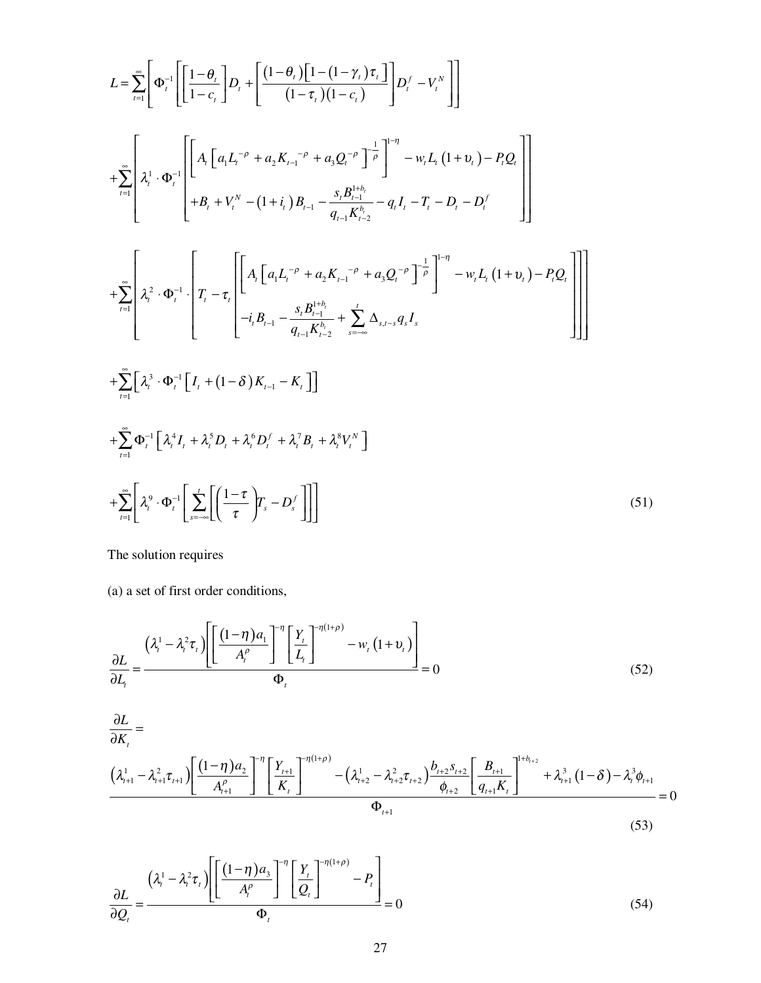$$
L = \sum_{i=1}^{\infty} \left[ \Phi_i^{-1} \left[ \left[ \frac{1-\theta_i}{1-c_i} \right] D_i + \left[ \frac{(1-\theta_i)\left[1-(1-\gamma_i)\tau_i\right]}{(1-\tau_i)(1-c_i)} \right] D_i^{f} - V_i^{N} \right] \right]
$$
  
+
$$
\sum_{i=1}^{\infty} \left[ \lambda_i^{1} \cdot \Phi_i^{-1} \left[ \left[ A_i \left[ a_i L_i^{-\rho} + a_2 K_{i-1}^{-\rho} + a_3 Q_i^{-\rho} \right]^{-\frac{1}{\rho}} \right]^{-\eta} - w_i L_i (1+v_i) - P_i Q_i \right]
$$
  
+
$$
B_i + V_i^{N} - (1+i_i) B_{i-1} - \frac{s_i B_{i-1}^{i+ \delta_i}}{q_{i-1} K_{i-2}^{k-1}} - q_i I_i - T_i - D_i - D_i^{f}
$$
  
+
$$
\sum_{i=1}^{\infty} \left[ \lambda_i^2 \cdot \Phi_i^{-1} \left[ T_i - \tau_i \left[ A_i \left[ a_i L_i^{-\rho} + a_2 K_{i-1}^{-\rho} + a_3 Q_i^{-\rho} \right]^{-\frac{1}{\rho}} \right]^{-\eta} - w_i L_i (1+v_i) - P_i Q_i \right] \right]
$$
  
+
$$
\sum_{i=1}^{\infty} \left[ \lambda_i^3 \cdot \Phi_i^{-1} \left[ I_i + (1-\delta) K_{i-1} - K_i \right] \right]
$$
  
+
$$
\sum_{i=1}^{\infty} \left[ \lambda_i^3 \cdot \Phi_i^{-1} \left[ I_i + (1-\delta) K_{i-1} - K_i \right] \right]
$$
  
+
$$
\sum_{i=1}^{\infty} \Phi_i^{-1} \left[ \lambda_i^4 I_i + \lambda_i^5 D_i + \lambda_i^6 D_i^{f} + \lambda_i^7 B_i + \lambda_i^8 V_i^{N} \right]
$$
  
+
$$
\sum_{i=1}^{\infty} \left[ \lambda_i^9 \cdot \Phi_i^{-1} \left[ \sum_{i=-\infty}^{i} \left[ \left( \frac{1-\tau}{\tau} \right) T_i - D_i^{f} \right] \right] \right]
$$
(51)

The solution requires

(a) a set of first order conditions,

$$
\frac{\partial L}{\partial L_t} = \frac{\left(\lambda_i^1 - \lambda_i^2 \tau_i\right) \left[ \left[ \frac{(1-\eta) a_1}{A_t^{\rho}} \right]^{-\eta} \left[ \frac{Y_t}{L_t} \right]^{-\eta(1+\rho)} - w_t \left( 1 + v_t \right) \right]}{\Phi_t} = 0
$$
\n(52)

$$
\frac{\partial L}{\partial K_{t}} = \frac{\left(\lambda_{t+1}^{1} - \lambda_{t+1}^{2} \tau_{t+1}\right) \left[\frac{(1-\eta) a_{2}}{A_{t+1}^{\rho}}\right]^{-\eta} \left[\frac{Y_{t+1}}{K_{t}}\right]^{-\eta(1+\rho)}}{P_{t+1}} - \left(\lambda_{t+2}^{1} - \lambda_{t+2}^{2} \tau_{t+2}\right) \frac{b_{t+2} S_{t+2}}{\phi_{t+2}} \left[\frac{B_{t+1}}{q_{t+1} K_{t}}\right]^{-\mu b_{t+2}} + \lambda_{t+1}^{3} (1-\delta) - \lambda_{t}^{3} \phi_{t+1}}{\Phi_{t+1}} = 0
$$
\n(53)

$$
\frac{\partial L}{\partial \mathcal{Q}_t} = \frac{(\lambda_t^1 - \lambda_t^2 \tau_t) \left[ \left[ \frac{(1-\eta) a_3}{A_t^{\rho}} \right]^{-\eta} \left[ \frac{Y_t}{\mathcal{Q}_t} \right]^{-\eta(1+\rho)} - P_t \right]}{\Phi_t} = 0
$$
\n(54)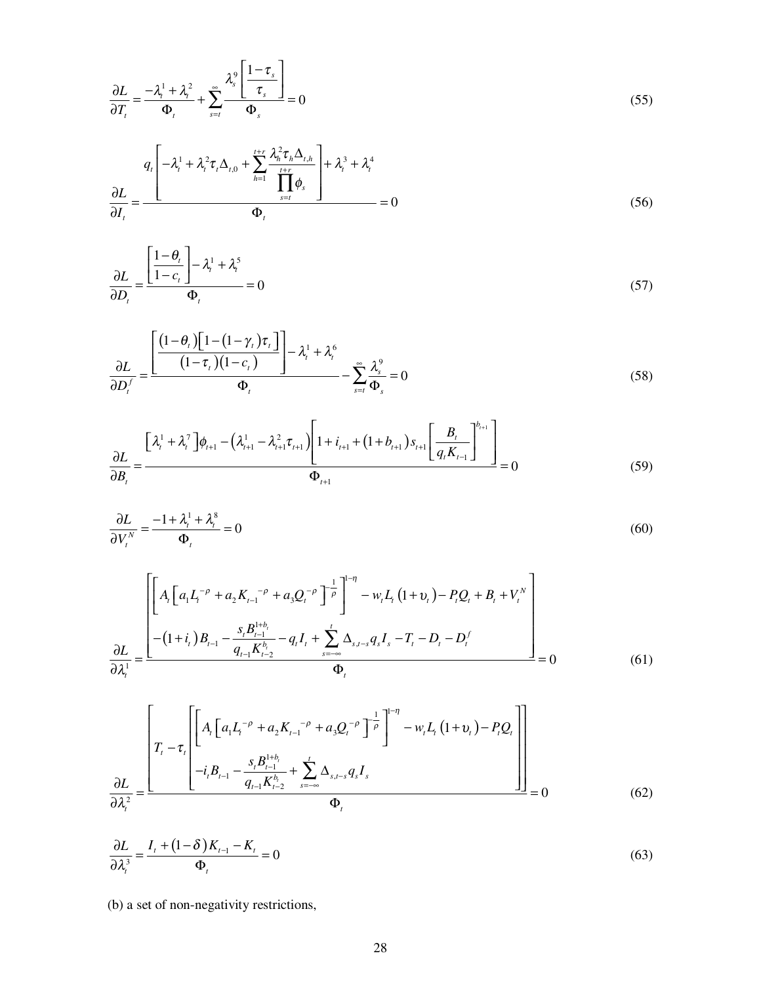$$
\frac{\partial L}{\partial T_t} = \frac{-\lambda_i^1 + \lambda_i^2}{\Phi_t} + \sum_{s=t}^{\infty} \frac{\lambda_s^9 \left[ \frac{1 - \tau_s}{\tau_s} \right]}{\Phi_s} = 0
$$
\n(55)

$$
\frac{\partial L}{\partial I_t} = \frac{q_t \left[ -\lambda_t^1 + \lambda_t^2 \tau_t \Delta_{t,0} + \sum_{h=1}^{t+r} \frac{\lambda_h^2 \tau_h \Delta_{t,h}}{\prod_{s=t}^{t+r} \phi_s} \right] + \lambda_t^3 + \lambda_t^4}{\Phi_t} = 0
$$
\n(56)

$$
\frac{\partial L}{\partial D_i} = \frac{\left[ \frac{1 - \theta_i}{1 - c_i} \right] - \lambda_i^1 + \lambda_i^5}{\Phi_i} = 0
$$
\n(57)

$$
\frac{\partial L}{\partial D_t^f} = \frac{\left[ \frac{\left(1 - \theta_t\right) \left[1 - \left(1 - \gamma_t\right) \tau_t\right]}{\left(1 - \tau_t\right) \left(1 - c_t\right)}\right] - \lambda_t^1 + \lambda_t^6}{\Phi_t} - \sum_{s=t}^\infty \frac{\lambda_s^9}{\Phi_s} = 0 \tag{58}
$$

$$
\frac{\partial L}{\partial B_t} = \frac{\left[\lambda_i^1 + \lambda_i^7\right]\phi_{t+1} - \left(\lambda_{t+1}^1 - \lambda_{t+1}^2\tau_{t+1}\right)\left[1 + i_{t+1} + \left(1 + b_{t+1}\right)s_{t+1}\left[\frac{B_t}{q_t K_{t-1}}\right]^{b_{t+1}}\right]}{\Phi_{t+1}} = 0
$$
\n(59)

$$
\frac{\partial L}{\partial V_t^N} = \frac{-1 + \lambda_t^1 + \lambda_t^8}{\Phi_t} = 0
$$
\n(60)

$$
\frac{\partial L}{\partial \lambda_{t}^{1}} = \frac{\left[ A_{t} \left[ a_{1} L_{t}^{-\rho} + a_{2} K_{t-1}^{-\rho} + a_{3} Q_{t}^{-\rho} \right]^{-\frac{1}{\rho}} \right]^{1-\eta} - w_{t} L_{t} \left( 1 + v_{t} \right) - P_{t} Q_{t} + B_{t} + V_{t}^{N}}{\frac{\partial L}{\partial \lambda_{t}^{1}} = \frac{\left( 1 + i_{t} \right) B_{t-1} - \frac{s_{t} B_{t-1}^{1+b_{t}}}{q_{t-1} K_{t-2}^{b_{t}}} - q_{t} I_{t} + \sum_{s=-\infty}^{t} \Delta_{s,t-s} q_{s} I_{s} - T_{t} - D_{t} - D_{t}^{f}}{\Phi_{t}} \right]}{\Phi_{t}}
$$
\n(61)

$$
\frac{\partial L}{\partial \lambda_i^2} = \frac{\left[ A_t \left[ a_1 L_t^{-\rho} + a_2 K_{t-1}^{-\rho} + a_3 Q_t^{-\rho} \right]^{-\frac{1}{\rho}} \right]^{-\eta} - w_t L_t (1 + v_t) - P_t Q_t}{-i_t B_{t-1} - \frac{s_t B_{t-1}^{1 + b_t}}{q_{t-1} K_{t-2}^{b_t}} + \sum_{s = -\infty}^t \Delta_{s, t-s} q_s I_s} = 0 \tag{62}
$$

$$
\frac{\partial L}{\partial \lambda_i^3} = \frac{I_t + (1 - \delta)K_{t-1} - K_t}{\Phi_t} = 0
$$
\n(63)

(b) a set of non-negativity restrictions,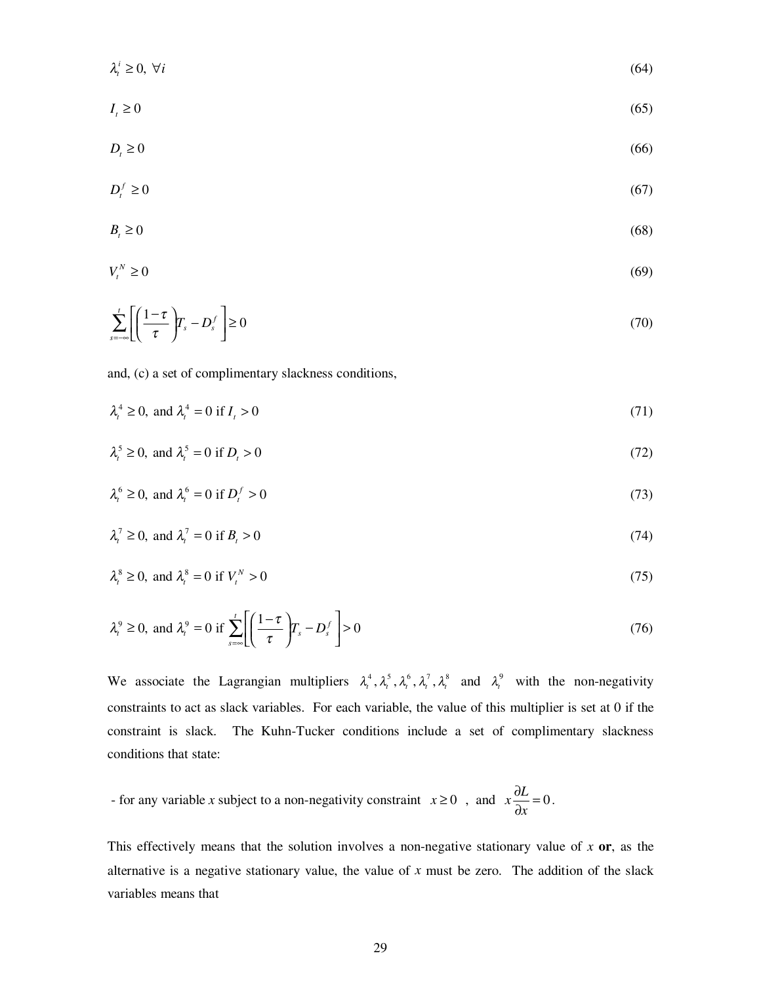$$
\lambda_i^i \ge 0, \ \forall i \tag{64}
$$

$$
I_t \ge 0\tag{65}
$$

$$
D_t \ge 0 \tag{66}
$$

$$
D_t^f \ge 0 \tag{67}
$$

$$
B_t \ge 0 \tag{68}
$$

$$
V_t^N \ge 0 \tag{69}
$$

$$
\sum_{s=-\infty}^{t} \left[ \left( \frac{1-\tau}{\tau} \right) T_s - D_s^f \right] \ge 0 \tag{70}
$$

and, (c) a set of complimentary slackness conditions,

$$
\lambda_t^4 \ge 0, \text{ and } \lambda_t^4 = 0 \text{ if } I_t > 0 \tag{71}
$$

$$
\lambda_i^5 \ge 0, \text{ and } \lambda_i^5 = 0 \text{ if } D_i > 0 \tag{72}
$$

$$
\lambda_t^6 \ge 0, \text{ and } \lambda_t^6 = 0 \text{ if } D_t^f > 0 \tag{73}
$$

$$
\lambda_i^7 \ge 0, \text{ and } \lambda_i^7 = 0 \text{ if } B_i > 0 \tag{74}
$$

$$
\lambda_t^8 \ge 0, \text{ and } \lambda_t^8 = 0 \text{ if } V_t^N > 0 \tag{75}
$$

$$
\lambda_t^9 \ge 0, \text{ and } \lambda_t^9 = 0 \text{ if } \sum_{s=\infty}^t \left[ \left( \frac{1-\tau}{\tau} \right) T_s - D_s^f \right] > 0 \tag{76}
$$

We associate the Lagrangian multipliers  $\lambda_t^4$ ,  $\lambda_t^5$ ,  $\lambda_t^6$ ,  $\lambda_t^7$ ,  $\lambda_t^8$  and  $\lambda_t^9$  with the non-negativity constraints to act as slack variables. For each variable, the value of this multiplier is set at 0 if the constraint is slack. The Kuhn-Tucker conditions include a set of complimentary slackness conditions that state:

- for any variable *x* subject to a non-negativity constraint  $x \ge 0$ , and  $x \frac{\partial L}{\partial x} = 0$  $\frac{\partial L}{\partial x} = 0$ .

This effectively means that the solution involves a non-negative stationary value of *x* **or**, as the alternative is a negative stationary value, the value of *x* must be zero. The addition of the slack variables means that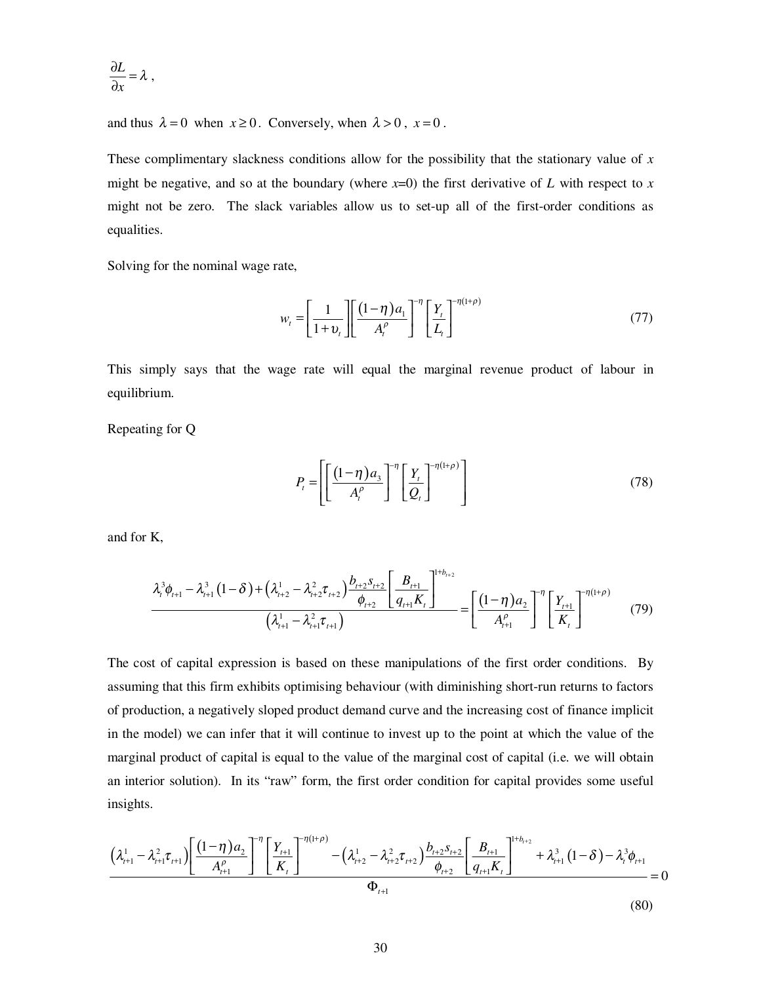$$
\frac{\partial L}{\partial x} = \lambda ,
$$

and thus  $\lambda = 0$  when  $x \ge 0$ . Conversely, when  $\lambda > 0$ ,  $x = 0$ .

These complimentary slackness conditions allow for the possibility that the stationary value of *x* might be negative, and so at the boundary (where  $x=0$ ) the first derivative of *L* with respect to  $x = 0$ might not be zero. The slack variables allow us to set-up all of the first-order conditions as equalities.

Solving for the nominal wage rate,

$$
w_t = \left[\frac{1}{1+v_t}\right] \left[\frac{(1-\eta)a_1}{A_t^{\rho}}\right]^{-\eta} \left[\frac{Y_t}{L_t}\right]^{-\eta(1+\rho)}
$$
(77)

This simply says that the wage rate will equal the marginal revenue product of labour in equilibrium.

Repeating for Q

$$
P_{t} = \left[ \left[ \frac{(1-\eta) a_{3}}{A_{t}^{\rho}} \right]^{-\eta} \left[ \frac{Y_{t}}{Q_{t}} \right]^{-\eta(1+\rho)} \right]
$$
(78)

and for K,

$$
\frac{\lambda_i^3 \phi_{t+1} - \lambda_{t+1}^3 (1 - \delta) + (\lambda_{t+2}^1 - \lambda_{t+2}^2 \tau_{t+2}) \frac{b_{t+2} s_{t+2}}{\phi_{t+2}} \left[ \frac{B_{t+1}}{q_{t+1} K_t} \right]^{1 + b_{t+2}}}{(\lambda_{t+1}^1 - \lambda_{t+1}^2 \tau_{t+1})} = \left[ \frac{(1 - \eta) a_2}{A_{t+1}^{\rho}} \right]^\eta \left[ \frac{Y_{t+1}}{K_t} \right]^{-\eta (1 + \rho)} \tag{79}
$$

The cost of capital expression is based on these manipulations of the first order conditions. By assuming that this firm exhibits optimising behaviour (with diminishing short-run returns to factors of production, a negatively sloped product demand curve and the increasing cost of finance implicit in the model) we can infer that it will continue to invest up to the point at which the value of the marginal product of capital is equal to the value of the marginal cost of capital (i.e. we will obtain an interior solution). In its "raw" form, the first order condition for capital provides some useful insights.

$$
\frac{\left(\lambda_{t+1}^{1} - \lambda_{t+1}^{2} \tau_{t+1}\right)\left[\frac{\left(1-\eta\right)a_{2}}{A_{t+1}^{\rho}}\right]^{-\eta}\left[\frac{Y_{t+1}}{K_{t}}\right]^{-\eta\left(1+\rho\right)} - \left(\lambda_{t+2}^{1} - \lambda_{t+2}^{2} \tau_{t+2}\right)\frac{b_{t+2}S_{t+2}}{\phi_{t+2}}\left[\frac{B_{t+1}}{q_{t+1}K_{t}}\right]^{1+b_{t+2}} + \lambda_{t+1}^{3}\left(1-\delta\right) - \lambda_{t}^{3}\phi_{t+1}}{\Phi_{t+1}} = 0
$$
\n
$$
(80)
$$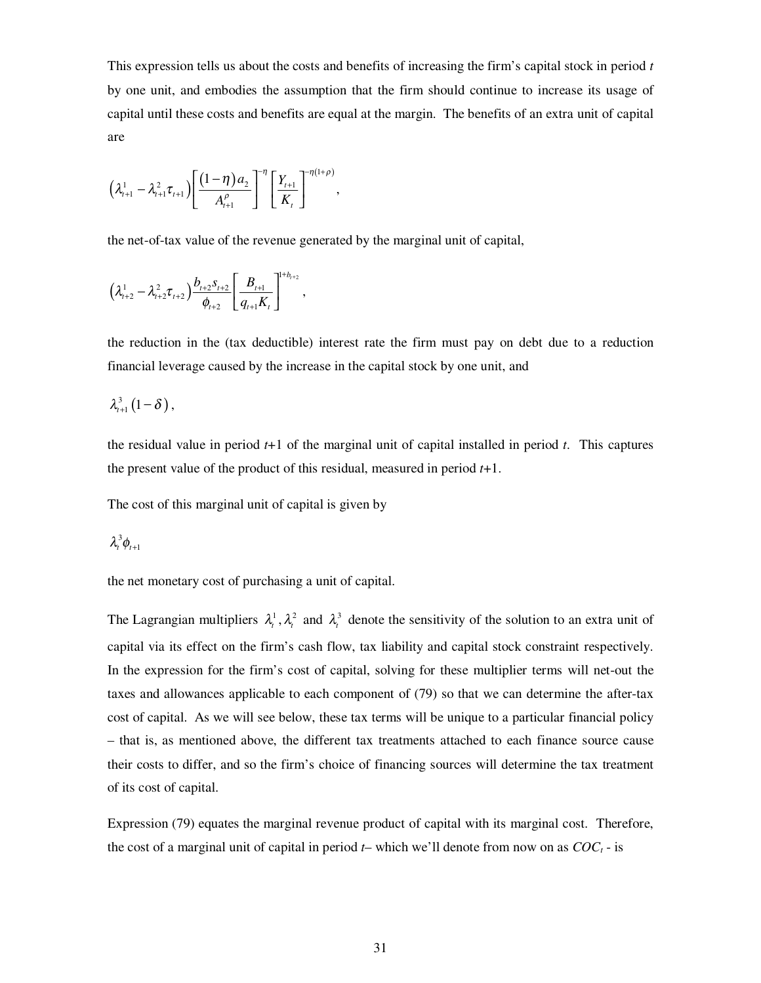This expression tells us about the costs and benefits of increasing the firm's capital stock in period *t* by one unit, and embodies the assumption that the firm should continue to increase its usage of capital until these costs and benefits are equal at the margin. The benefits of an extra unit of capital are

$$
\left(\lambda_{t+1}^1 - \lambda_{t+1}^2 \tau_{t+1}\right) \left[\frac{\left(1-\eta\right) a_2}{A_{t+1}^{\rho}}\right]^{-\eta} \left[\frac{Y_{t+1}}{K_t}\right]^{-\eta(1+\rho)},
$$

the net-of-tax value of the revenue generated by the marginal unit of capital,

$$
\left(\lambda_{t+2}^1 - \lambda_{t+2}^2 \tau_{t+2}\right) \frac{b_{t+2} s_{t+2}}{\phi_{t+2}} \left[\frac{B_{t+1}}{q_{t+1} K_t}\right]^{1+b_{t+2}},
$$

the reduction in the (tax deductible) interest rate the firm must pay on debt due to a reduction financial leverage caused by the increase in the capital stock by one unit, and

$$
\lambda_{t+1}^3\left(1-\delta\right),\,
$$

the residual value in period *t*+1 of the marginal unit of capital installed in period *t*. This captures the present value of the product of this residual, measured in period *t*+1.

The cost of this marginal unit of capital is given by

$$
\lambda_t^3\phi_{t+1}
$$

the net monetary cost of purchasing a unit of capital.

The Lagrangian multipliers  $\lambda_i^1$ ,  $\lambda_i^2$  and  $\lambda_i^3$  denote the sensitivity of the solution to an extra unit of capital via its effect on the firm's cash flow, tax liability and capital stock constraint respectively. In the expression for the firm's cost of capital, solving for these multiplier terms will net-out the taxes and allowances applicable to each component of (79) so that we can determine the after-tax cost of capital. As we will see below, these tax terms will be unique to a particular financial policy – that is, as mentioned above, the different tax treatments attached to each finance source cause their costs to differ, and so the firm's choice of financing sources will determine the tax treatment of its cost of capital.

Expression (79) equates the marginal revenue product of capital with its marginal cost. Therefore, the cost of a marginal unit of capital in period  $t$ – which we'll denote from now on as  $COC<sub>t</sub>$  - is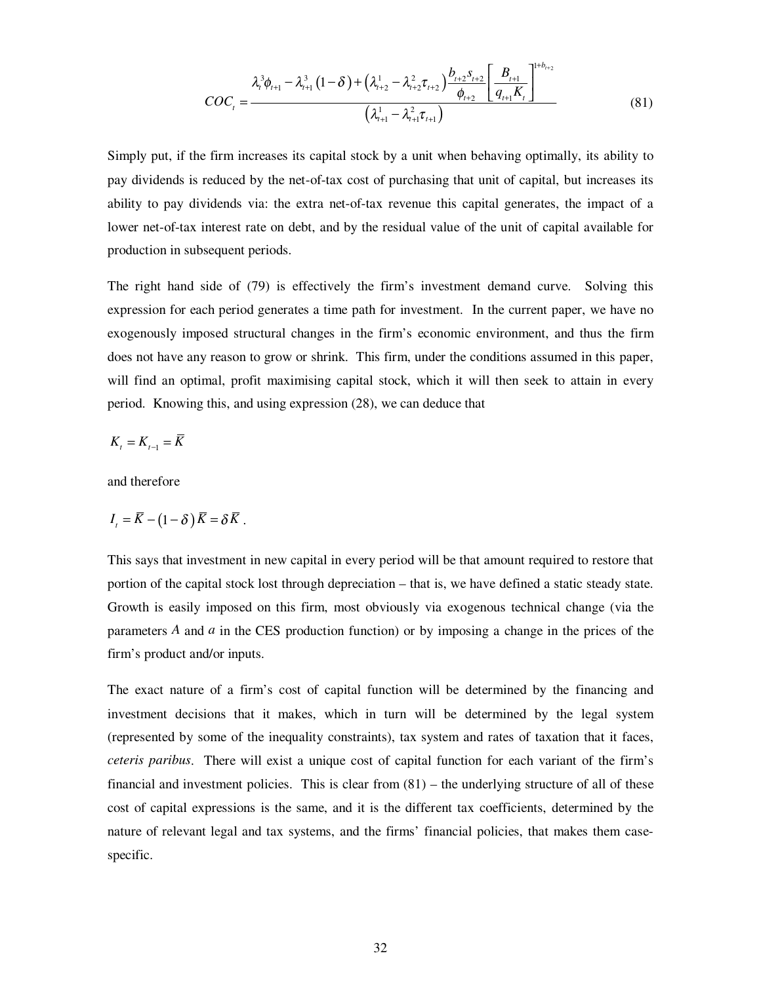$$
COC_{t} = \frac{\lambda_{t+1}^{3} \phi_{t+1} - \lambda_{t+1}^{3} (1 - \delta) + (\lambda_{t+2}^{1} - \lambda_{t+2}^{2} \tau_{t+2}) \frac{b_{t+2} s_{t+2}}{\phi_{t+2}} \left[ \frac{B_{t+1}}{q_{t+1} K_{t}} \right]^{1 + b_{t+2}}}{(\lambda_{t+1}^{1} - \lambda_{t+1}^{2} \tau_{t+1})}
$$
(81)

Simply put, if the firm increases its capital stock by a unit when behaving optimally, its ability to pay dividends is reduced by the net-of-tax cost of purchasing that unit of capital, but increases its ability to pay dividends via: the extra net-of-tax revenue this capital generates, the impact of a lower net-of-tax interest rate on debt, and by the residual value of the unit of capital available for production in subsequent periods.

The right hand side of (79) is effectively the firm's investment demand curve. Solving this expression for each period generates a time path for investment. In the current paper, we have no exogenously imposed structural changes in the firm's economic environment, and thus the firm does not have any reason to grow or shrink. This firm, under the conditions assumed in this paper, will find an optimal, profit maximising capital stock, which it will then seek to attain in every period. Knowing this, and using expression (28), we can deduce that

$$
K_{t} = K_{t-1} = \overline{K}
$$

and therefore

$$
I_t = \overline{K} - (1 - \delta) \overline{K} = \delta \overline{K} .
$$

This says that investment in new capital in every period will be that amount required to restore that portion of the capital stock lost through depreciation – that is, we have defined a static steady state. Growth is easily imposed on this firm, most obviously via exogenous technical change (via the parameters *A* and *a* in the CES production function) or by imposing a change in the prices of the firm's product and/or inputs.

The exact nature of a firm's cost of capital function will be determined by the financing and investment decisions that it makes, which in turn will be determined by the legal system (represented by some of the inequality constraints), tax system and rates of taxation that it faces, *ceteris paribus*. There will exist a unique cost of capital function for each variant of the firm's financial and investment policies. This is clear from  $(81)$  – the underlying structure of all of these cost of capital expressions is the same, and it is the different tax coefficients, determined by the nature of relevant legal and tax systems, and the firms' financial policies, that makes them casespecific.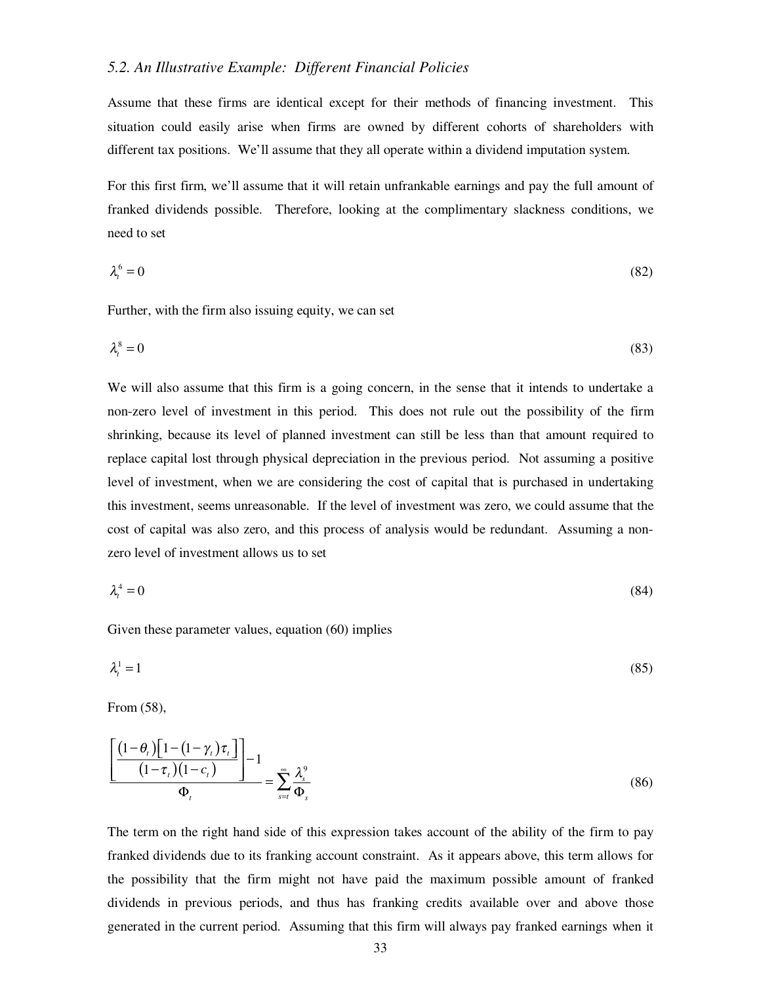#### *5.2. An Illustrative Example: Different Financial Policies*

Assume that these firms are identical except for their methods of financing investment. This situation could easily arise when firms are owned by different cohorts of shareholders with different tax positions. We'll assume that they all operate within a dividend imputation system.

For this first firm, we'll assume that it will retain unfrankable earnings and pay the full amount of franked dividends possible. Therefore, looking at the complimentary slackness conditions, we need to set

$$
\lambda_t^6 = 0 \tag{82}
$$

Further, with the firm also issuing equity, we can set

$$
\lambda_t^8 = 0 \tag{83}
$$

We will also assume that this firm is a going concern, in the sense that it intends to undertake a non-zero level of investment in this period. This does not rule out the possibility of the firm shrinking, because its level of planned investment can still be less than that amount required to replace capital lost through physical depreciation in the previous period. Not assuming a positive level of investment, when we are considering the cost of capital that is purchased in undertaking this investment, seems unreasonable. If the level of investment was zero, we could assume that the cost of capital was also zero, and this process of analysis would be redundant. Assuming a nonzero level of investment allows us to set

$$
\lambda_t^4 = 0 \tag{84}
$$

Given these parameter values, equation (60) implies

$$
\lambda_t^1 = 1\tag{85}
$$

From (58),

$$
\frac{\left[\frac{(1-\theta_t)\left[1-(1-\gamma_t)\tau_t\right]}{(1-\tau_t)(1-c_t)}\right]}{\Phi_t} = \sum_{s=t}^{\infty} \frac{\lambda_s^9}{\Phi_s}
$$
\n(86)

The term on the right hand side of this expression takes account of the ability of the firm to pay franked dividends due to its franking account constraint. As it appears above, this term allows for the possibility that the firm might not have paid the maximum possible amount of franked dividends in previous periods, and thus has franking credits available over and above those generated in the current period. Assuming that this firm will always pay franked earnings when it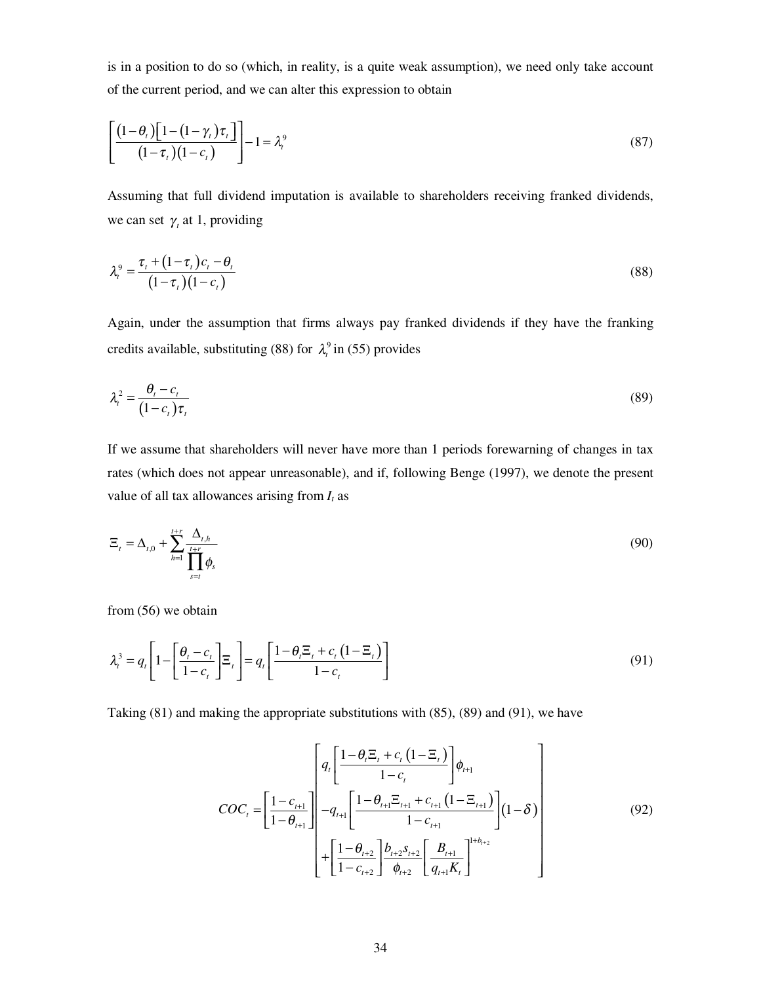is in a position to do so (which, in reality, is a quite weak assumption), we need only take account of the current period, and we can alter this expression to obtain

$$
\left[\frac{\left(1-\theta_{t}\right)\left[1-\left(1-\gamma_{t}\right)\tau_{t}\right]}{\left(1-\tau_{t}\right)\left(1-c_{t}\right)}\right]-1=\lambda_{t}^{9}\tag{87}
$$

Assuming that full dividend imputation is available to shareholders receiving franked dividends, we can set  $\gamma$ , at 1, providing

$$
\lambda_i^9 = \frac{\tau_i + (1 - \tau_i)c_i - \theta_i}{(1 - \tau_i)(1 - c_i)}\tag{88}
$$

Again, under the assumption that firms always pay franked dividends if they have the franking credits available, substituting (88) for  $\lambda_i^9$  in (55) provides

$$
\lambda_t^2 = \frac{\theta_t - c_t}{(1 - c_t)\tau_t} \tag{89}
$$

If we assume that shareholders will never have more than 1 periods forewarning of changes in tax rates (which does not appear unreasonable), and if, following Benge (1997), we denote the present value of all tax allowances arising from  $I_t$  as

$$
\Xi_t = \Delta_{t,0} + \sum_{h=1}^{t+r} \frac{\Delta_{t,h}}{\prod_{s=t}^{t+r}} \phi_s \tag{90}
$$

from (56) we obtain

$$
\lambda_i^3 = q_t \left[ 1 - \left[ \frac{\theta_i - c_t}{1 - c_t} \right] \Xi_t \right] = q_t \left[ \frac{1 - \theta_i \Xi_t + c_t \left( 1 - \Xi_t \right)}{1 - c_t} \right] \tag{91}
$$

Taking (81) and making the appropriate substitutions with (85), (89) and (91), we have

$$
COC_{t} = \left[\frac{1 - c_{t+1}}{1 - \theta_{t+1}}\right] \left[\frac{q_{t}\left[\frac{1 - \theta_{t} \Xi_{t} + c_{t} \left(1 - \Xi_{t}\right)}{1 - c_{t}}\right]\phi_{t+1}}{-q_{t+1}\left[\frac{1 - \theta_{t+1} \Xi_{t+1} + c_{t+1} \left(1 - \Xi_{t+1}\right)}{1 - c_{t+1}}\right](1 - \delta)\right] + \left[\frac{1 - \theta_{t+2}}{1 - c_{t+2}}\right] \frac{b_{t+2} s_{t+2}}{\phi_{t+2}} \left[\frac{B_{t+1}}{q_{t+1} K_{t}}\right]^{1 + b_{t+2}}
$$
\n(92)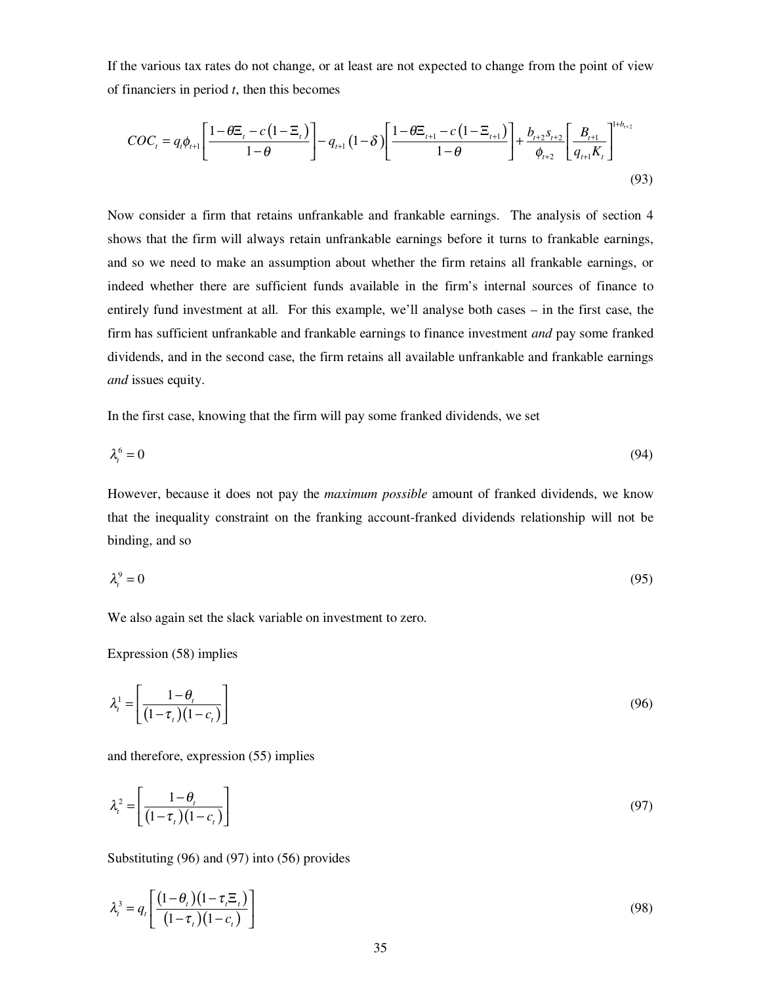If the various tax rates do not change, or at least are not expected to change from the point of view of financiers in period *t*, then this becomes

$$
COC_{t} = q_{t}\phi_{t+1} \left[ \frac{1-\theta \Xi_{t} - c\left(1-\Xi_{t}\right)}{1-\theta} \right] - q_{t+1}\left(1-\delta\right) \left[ \frac{1-\theta \Xi_{t+1} - c\left(1-\Xi_{t+1}\right)}{1-\theta} \right] + \frac{b_{t+2} s_{t+2}}{\phi_{t+2}} \left[ \frac{B_{t+1}}{q_{t+1} K_{t}} \right]^{1+b_{t+2}}
$$
\n
$$
(93)
$$

Now consider a firm that retains unfrankable and frankable earnings. The analysis of section 4 shows that the firm will always retain unfrankable earnings before it turns to frankable earnings, and so we need to make an assumption about whether the firm retains all frankable earnings, or indeed whether there are sufficient funds available in the firm's internal sources of finance to entirely fund investment at all. For this example, we'll analyse both cases – in the first case, the firm has sufficient unfrankable and frankable earnings to finance investment *and* pay some franked dividends, and in the second case, the firm retains all available unfrankable and frankable earnings *and* issues equity.

In the first case, knowing that the firm will pay some franked dividends, we set

$$
\lambda_t^6 = 0 \tag{94}
$$

However, because it does not pay the *maximum possible* amount of franked dividends, we know that the inequality constraint on the franking account-franked dividends relationship will not be binding, and so

$$
\lambda_i^9 = 0 \tag{95}
$$

We also again set the slack variable on investment to zero.

Expression (58) implies

$$
\lambda_t^1 = \left[ \frac{1 - \theta_t}{\left(1 - \tau_t\right)\left(1 - c_t\right)} \right] \tag{96}
$$

and therefore, expression (55) implies

$$
\lambda_t^2 = \left[ \frac{1 - \theta_t}{\left(1 - \tau_t\right)\left(1 - c_t\right)} \right] \tag{97}
$$

Substituting (96) and (97) into (56) provides

$$
\lambda_i^3 = q_i \left[ \frac{\left(1 - \theta_i\right)\left(1 - \tau_i \Xi_i\right)}{\left(1 - \tau_i\right)\left(1 - c_i\right)} \right] \tag{98}
$$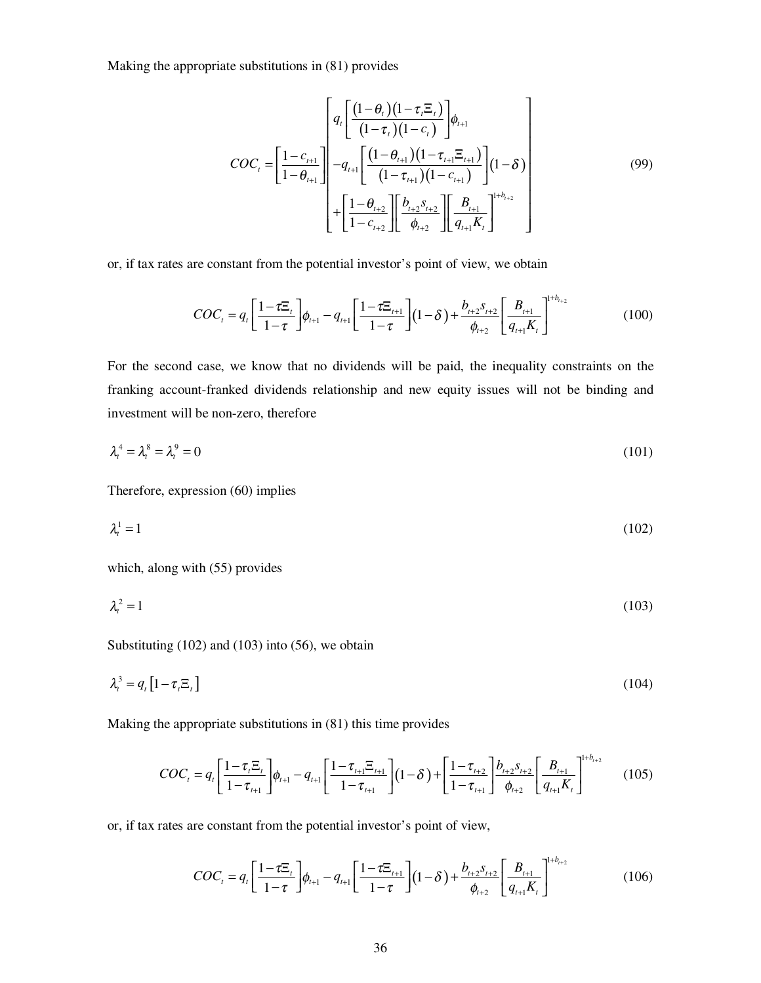Making the appropriate substitutions in (81) provides

$$
COC_{t} = \left[\frac{1 - c_{t+1}}{1 - \theta_{t+1}}\right] \left[\frac{q_{t}\left[\frac{(1 - \theta_{t})(1 - \tau_{t}, \Xi_{t})}{(1 - \tau_{t})(1 - c_{t})}\right]\phi_{t+1}}{-q_{t+1}\left[\frac{(1 - \theta_{t+1})(1 - \tau_{t+1}, \Xi_{t+1})}{(1 - \tau_{t+1})(1 - c_{t+1})}\right](1 - \delta)\right] + \left[\frac{1 - \theta_{t+2}}{1 - c_{t+2}}\right] \left[\frac{B_{t+2}}{\theta_{t+2}}\right] \left[\frac{B_{t+1}}{q_{t+1}K_{t}}\right]^{1 + b_{t+2}}
$$
\n(99)

or, if tax rates are constant from the potential investor's point of view, we obtain

$$
COC_t = q_t \left[ \frac{1 - \tau \Xi_t}{1 - \tau} \right] \phi_{t+1} - q_{t+1} \left[ \frac{1 - \tau \Xi_{t+1}}{1 - \tau} \right] (1 - \delta) + \frac{b_{t+2} s_{t+2}}{\phi_{t+2}} \left[ \frac{B_{t+1}}{q_{t+1} K_t} \right]^{1 + b_{t+2}}
$$
(100)

For the second case, we know that no dividends will be paid, the inequality constraints on the franking account-franked dividends relationship and new equity issues will not be binding and investment will be non-zero, therefore

$$
\lambda_t^4 = \lambda_t^8 = \lambda_t^9 = 0 \tag{101}
$$

Therefore, expression (60) implies

$$
\lambda_t^1 = 1\tag{102}
$$

which, along with (55) provides

$$
\lambda_t^2 = 1\tag{103}
$$

Substituting (102) and (103) into (56), we obtain

$$
\lambda_i^3 = q_i \left[ 1 - \tau_i \Xi_i \right] \tag{104}
$$

Making the appropriate substitutions in (81) this time provides

$$
COC_{t} = q_{t} \left[ \frac{1 - \tau_{t} \Xi_{t}}{1 - \tau_{t+1}} \right] \phi_{t+1} - q_{t+1} \left[ \frac{1 - \tau_{t+1} \Xi_{t+1}}{1 - \tau_{t+1}} \right] (1 - \delta) + \left[ \frac{1 - \tau_{t+2}}{1 - \tau_{t+1}} \right] \frac{b_{t+2} s_{t+2}}{\phi_{t+2}} \left[ \frac{B_{t+1}}{q_{t+1} K_{t}} \right]^{1 + b_{t+2}} \tag{105}
$$

or, if tax rates are constant from the potential investor's point of view,

$$
COC_t = q_t \left[ \frac{1 - \tau \Xi_t}{1 - \tau} \right] \phi_{t+1} - q_{t+1} \left[ \frac{1 - \tau \Xi_{t+1}}{1 - \tau} \right] (1 - \delta) + \frac{b_{t+2} s_{t+2}}{\phi_{t+2}} \left[ \frac{B_{t+1}}{q_{t+1} K_t} \right]^{1 + b_{t+2}}
$$
(106)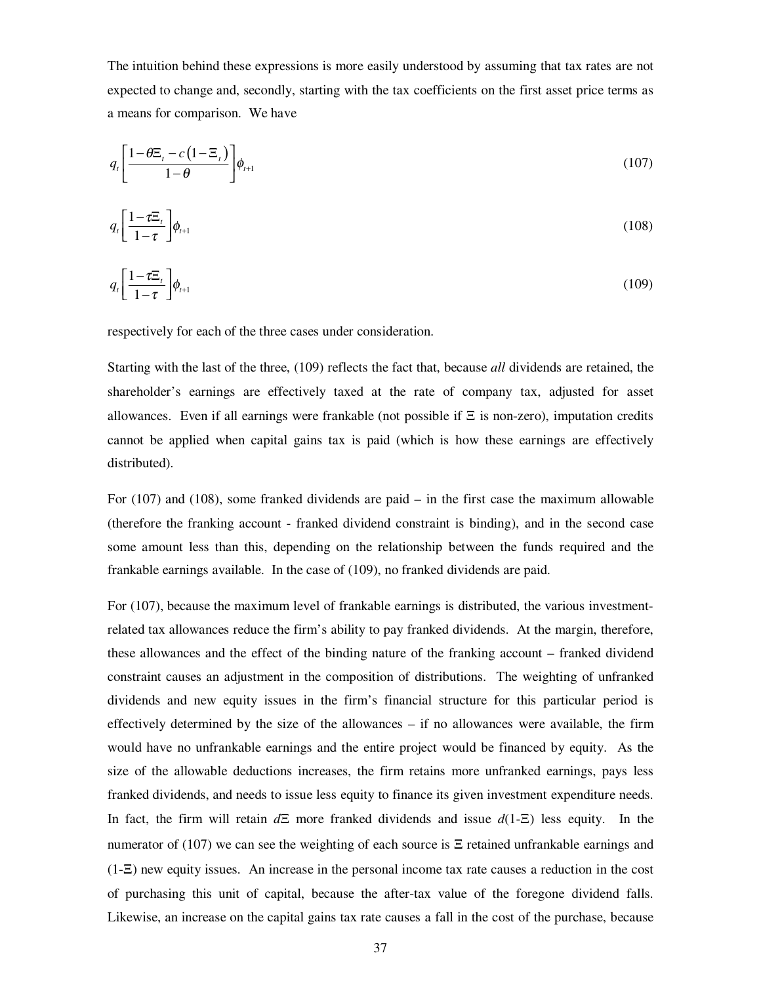The intuition behind these expressions is more easily understood by assuming that tax rates are not expected to change and, secondly, starting with the tax coefficients on the first asset price terms as a means for comparison. We have

$$
q_t \left[ \frac{1 - \theta \mathbb{E}_t - c \left( 1 - \mathbb{E}_t \right)}{1 - \theta} \right] \phi_{t+1} \tag{107}
$$

$$
q_t \left[ \frac{1 - \tau \Xi_t}{1 - \tau} \right] \phi_{t+1} \tag{108}
$$

$$
q_t \left[ \frac{1 - t \Xi_t}{1 - \tau} \right] \phi_{t+1} \tag{109}
$$

respectively for each of the three cases under consideration.

Starting with the last of the three, (109) reflects the fact that, because *all* dividends are retained, the shareholder's earnings are effectively taxed at the rate of company tax, adjusted for asset allowances. Even if all earnings were frankable (not possible if  $\Xi$  is non-zero), imputation credits cannot be applied when capital gains tax is paid (which is how these earnings are effectively distributed).

For (107) and (108), some franked dividends are paid – in the first case the maximum allowable (therefore the franking account - franked dividend constraint is binding), and in the second case some amount less than this, depending on the relationship between the funds required and the frankable earnings available. In the case of (109), no franked dividends are paid.

For (107), because the maximum level of frankable earnings is distributed, the various investmentrelated tax allowances reduce the firm's ability to pay franked dividends. At the margin, therefore, these allowances and the effect of the binding nature of the franking account – franked dividend constraint causes an adjustment in the composition of distributions. The weighting of unfranked dividends and new equity issues in the firm's financial structure for this particular period is effectively determined by the size of the allowances – if no allowances were available, the firm would have no unfrankable earnings and the entire project would be financed by equity. As the size of the allowable deductions increases, the firm retains more unfranked earnings, pays less franked dividends, and needs to issue less equity to finance its given investment expenditure needs. In fact, the firm will retain *d*Ξ more franked dividends and issue *d*(1-Ξ) less equity. In the numerator of (107) we can see the weighting of each source is  $\Xi$  retained unfrankable earnings and (1-Ξ) new equity issues. An increase in the personal income tax rate causes a reduction in the cost of purchasing this unit of capital, because the after-tax value of the foregone dividend falls. Likewise, an increase on the capital gains tax rate causes a fall in the cost of the purchase, because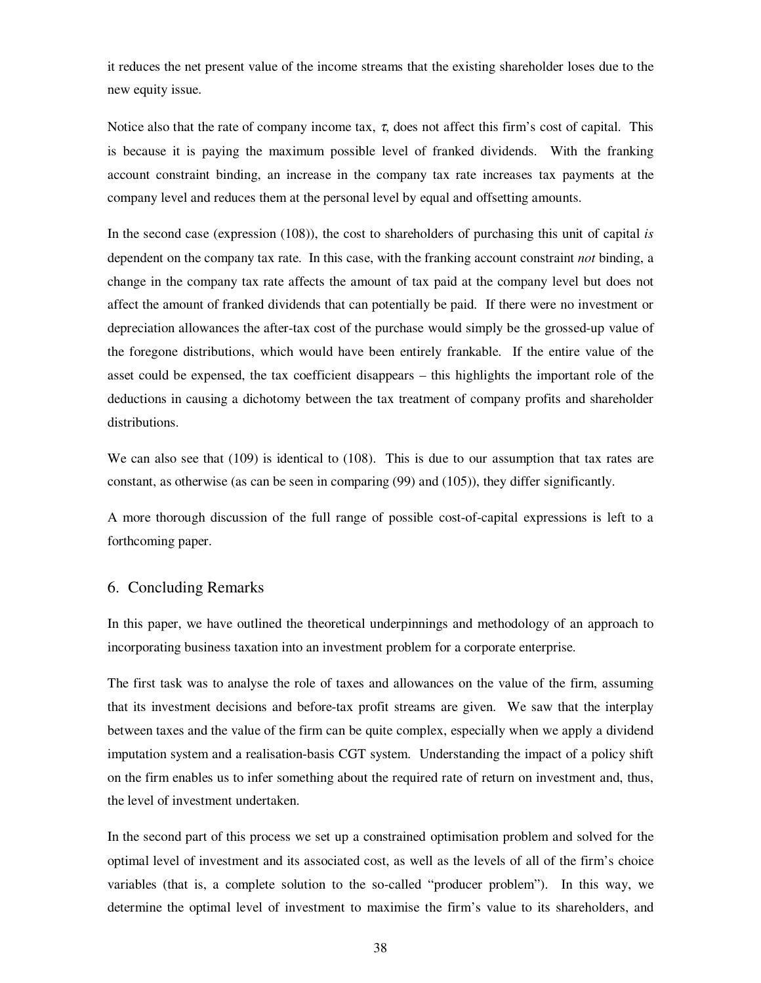it reduces the net present value of the income streams that the existing shareholder loses due to the new equity issue.

Notice also that the rate of company income tax,  $\tau$ , does not affect this firm's cost of capital. This is because it is paying the maximum possible level of franked dividends. With the franking account constraint binding, an increase in the company tax rate increases tax payments at the company level and reduces them at the personal level by equal and offsetting amounts.

In the second case (expression (108)), the cost to shareholders of purchasing this unit of capital *is* dependent on the company tax rate. In this case, with the franking account constraint *not* binding, a change in the company tax rate affects the amount of tax paid at the company level but does not affect the amount of franked dividends that can potentially be paid. If there were no investment or depreciation allowances the after-tax cost of the purchase would simply be the grossed-up value of the foregone distributions, which would have been entirely frankable. If the entire value of the asset could be expensed, the tax coefficient disappears – this highlights the important role of the deductions in causing a dichotomy between the tax treatment of company profits and shareholder distributions.

We can also see that (109) is identical to (108). This is due to our assumption that tax rates are constant, as otherwise (as can be seen in comparing (99) and (105)), they differ significantly.

A more thorough discussion of the full range of possible cost-of-capital expressions is left to a forthcoming paper.

#### 6. Concluding Remarks

In this paper, we have outlined the theoretical underpinnings and methodology of an approach to incorporating business taxation into an investment problem for a corporate enterprise.

The first task was to analyse the role of taxes and allowances on the value of the firm, assuming that its investment decisions and before-tax profit streams are given. We saw that the interplay between taxes and the value of the firm can be quite complex, especially when we apply a dividend imputation system and a realisation-basis CGT system. Understanding the impact of a policy shift on the firm enables us to infer something about the required rate of return on investment and, thus, the level of investment undertaken.

In the second part of this process we set up a constrained optimisation problem and solved for the optimal level of investment and its associated cost, as well as the levels of all of the firm's choice variables (that is, a complete solution to the so-called "producer problem"). In this way, we determine the optimal level of investment to maximise the firm's value to its shareholders, and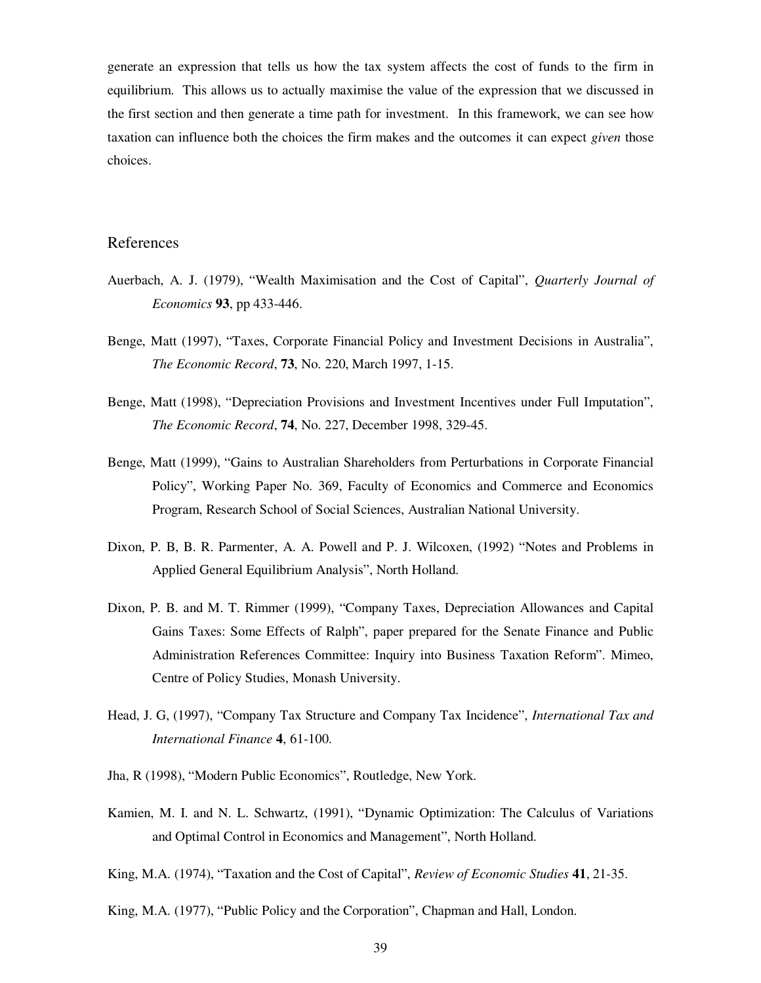generate an expression that tells us how the tax system affects the cost of funds to the firm in equilibrium. This allows us to actually maximise the value of the expression that we discussed in the first section and then generate a time path for investment. In this framework, we can see how taxation can influence both the choices the firm makes and the outcomes it can expect *given* those choices.

#### References

- Auerbach, A. J. (1979), "Wealth Maximisation and the Cost of Capital", *Quarterly Journal of Economics* **93**, pp 433-446.
- Benge, Matt (1997), "Taxes, Corporate Financial Policy and Investment Decisions in Australia", *The Economic Record*, **73**, No. 220, March 1997, 1-15.
- Benge, Matt (1998), "Depreciation Provisions and Investment Incentives under Full Imputation", *The Economic Record*, **74**, No. 227, December 1998, 329-45.
- Benge, Matt (1999), "Gains to Australian Shareholders from Perturbations in Corporate Financial Policy", Working Paper No. 369, Faculty of Economics and Commerce and Economics Program, Research School of Social Sciences, Australian National University.
- Dixon, P. B, B. R. Parmenter, A. A. Powell and P. J. Wilcoxen, (1992) "Notes and Problems in Applied General Equilibrium Analysis", North Holland.
- Dixon, P. B. and M. T. Rimmer (1999), "Company Taxes, Depreciation Allowances and Capital Gains Taxes: Some Effects of Ralph", paper prepared for the Senate Finance and Public Administration References Committee: Inquiry into Business Taxation Reform". Mimeo, Centre of Policy Studies, Monash University.
- Head, J. G, (1997), "Company Tax Structure and Company Tax Incidence", *International Tax and International Finance* **4**, 61-100.
- Jha, R (1998), "Modern Public Economics", Routledge, New York.
- Kamien, M. I. and N. L. Schwartz, (1991), "Dynamic Optimization: The Calculus of Variations and Optimal Control in Economics and Management", North Holland.
- King, M.A. (1974), "Taxation and the Cost of Capital", *Review of Economic Studies* **41**, 21-35.

King, M.A. (1977), "Public Policy and the Corporation", Chapman and Hall, London.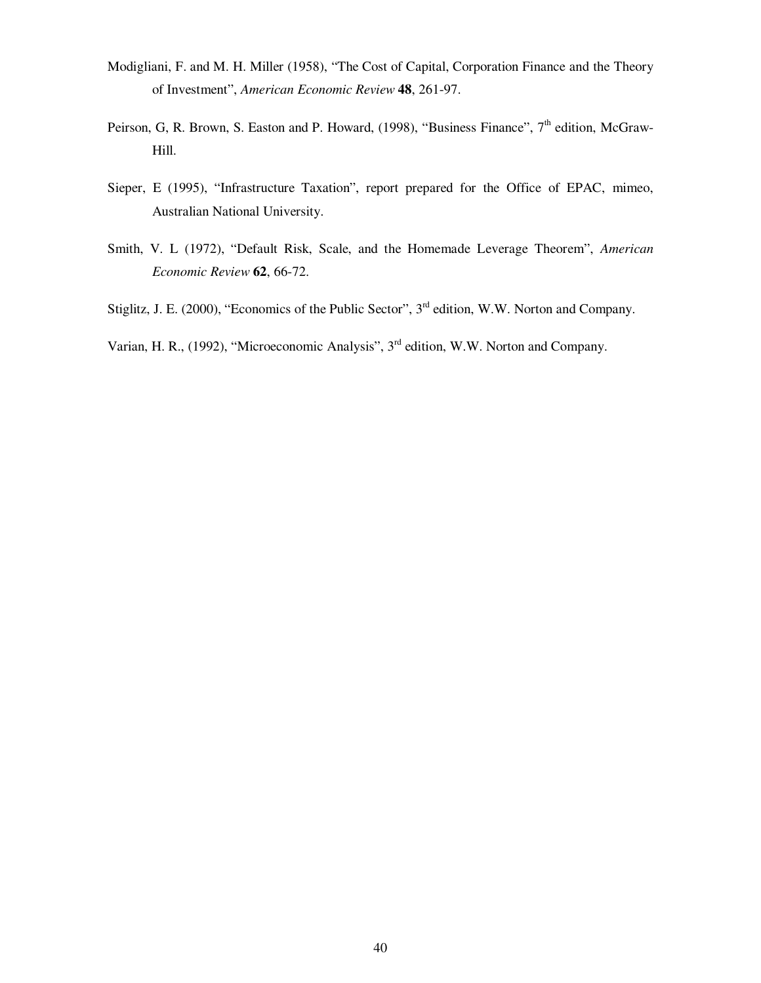- Modigliani, F. and M. H. Miller (1958), "The Cost of Capital, Corporation Finance and the Theory of Investment", *American Economic Review* **48**, 261-97.
- Peirson, G, R. Brown, S. Easton and P. Howard, (1998), "Business Finance", 7<sup>th</sup> edition, McGraw-Hill.
- Sieper, E (1995), "Infrastructure Taxation", report prepared for the Office of EPAC, mimeo, Australian National University.
- Smith, V. L (1972), "Default Risk, Scale, and the Homemade Leverage Theorem", *American Economic Review* **62**, 66-72.
- Stiglitz, J. E. (2000), "Economics of the Public Sector", 3<sup>rd</sup> edition, W.W. Norton and Company.
- Varian, H. R., (1992), "Microeconomic Analysis", 3<sup>rd</sup> edition, W.W. Norton and Company.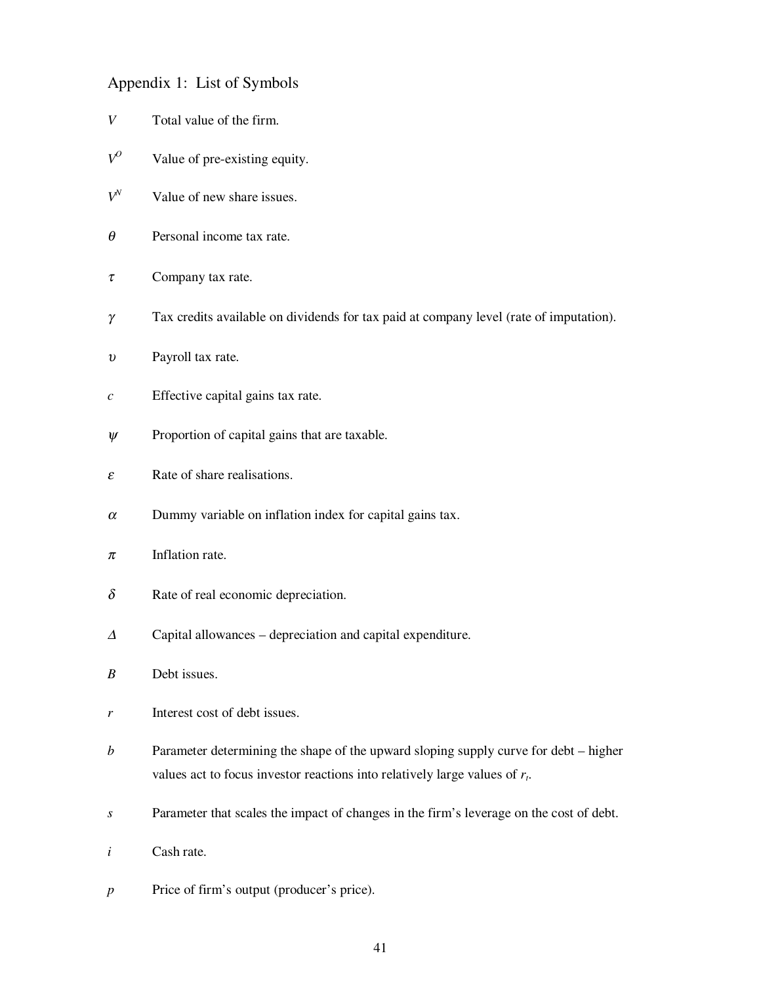#### Appendix 1: List of Symbols

- *V* Total value of the firm.
- $V^O$  Value of pre-existing equity.
- $V^N$  Value of new share issues.
- $\theta$  Personal income tax rate.
- $\tau$  Company tax rate.
- γ Tax credits available on dividends for tax paid at company level (rate of imputation).
- <sup>υ</sup> Payroll tax rate.
- *c* Effective capital gains tax rate.
- $\psi$  Proportion of capital gains that are taxable.
- $\epsilon$  Rate of share realisations.
- $\alpha$  Dummy variable on inflation index for capital gains tax.
- $\pi$  Inflation rate.
- $\delta$  Rate of real economic depreciation.
- <sup>∆</sup> Capital allowances depreciation and capital expenditure.
- *B* Debt issues.
- *r* Interest cost of debt issues.
- *b* Parameter determining the shape of the upward sloping supply curve for debt higher values act to focus investor reactions into relatively large values of *rt*.
- *s* Parameter that scales the impact of changes in the firm's leverage on the cost of debt.
- *i* Cash rate.
- *p* Price of firm's output (producer's price).